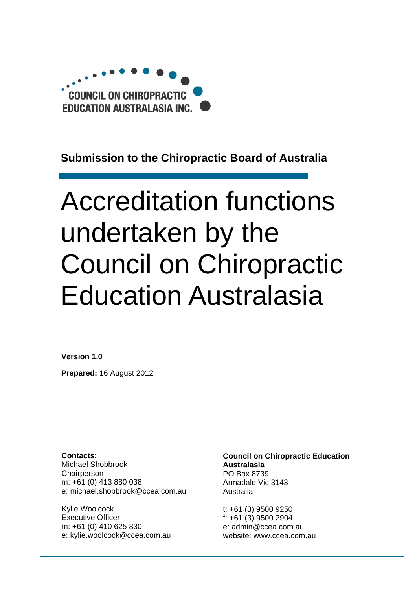

# **Submission to the Chiropractic Board of Australia**

# Accreditation functions undertaken by the Council on Chiropractic Education Australasia

**Version 1.0** 

**Prepared:** 16 August 2012

**Contacts:**  Michael Shobbrook Chairperson m: +61 (0) 413 880 038 e: michael.shobbrook@ccea.com.au

Kylie Woolcock Executive Officer m: +61 (0) 410 625 830 e: kylie.woolcock@ccea.com.au **Council on Chiropractic Education Australasia**  PO Box 8739 Armadale Vic 3143 Australia

t: +61 (3) 9500 9250 f: +61 (3) 9500 2904 e: admin@ccea.com.au website: www.ccea.com.au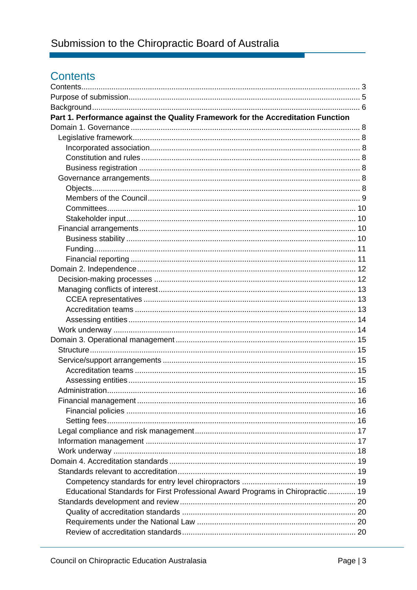# Contents

| Part 1. Performance against the Quality Framework for the Accreditation Function |  |
|----------------------------------------------------------------------------------|--|
|                                                                                  |  |
|                                                                                  |  |
|                                                                                  |  |
|                                                                                  |  |
|                                                                                  |  |
|                                                                                  |  |
|                                                                                  |  |
|                                                                                  |  |
|                                                                                  |  |
|                                                                                  |  |
|                                                                                  |  |
|                                                                                  |  |
|                                                                                  |  |
|                                                                                  |  |
|                                                                                  |  |
|                                                                                  |  |
|                                                                                  |  |
|                                                                                  |  |
|                                                                                  |  |
|                                                                                  |  |
|                                                                                  |  |
|                                                                                  |  |
|                                                                                  |  |
|                                                                                  |  |
|                                                                                  |  |
|                                                                                  |  |
|                                                                                  |  |
|                                                                                  |  |
|                                                                                  |  |
|                                                                                  |  |
|                                                                                  |  |
|                                                                                  |  |
|                                                                                  |  |
|                                                                                  |  |
|                                                                                  |  |
|                                                                                  |  |
| Educational Standards for First Professional Award Programs in Chiropractic 19   |  |
|                                                                                  |  |
|                                                                                  |  |
|                                                                                  |  |
|                                                                                  |  |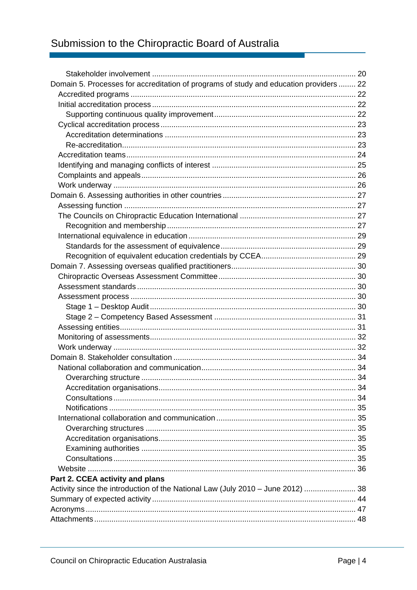# Submission to the Chiropractic Board of Australia

| Domain 5. Processes for accreditation of programs of study and education providers  22 |  |
|----------------------------------------------------------------------------------------|--|
|                                                                                        |  |
|                                                                                        |  |
|                                                                                        |  |
|                                                                                        |  |
|                                                                                        |  |
|                                                                                        |  |
|                                                                                        |  |
|                                                                                        |  |
|                                                                                        |  |
|                                                                                        |  |
|                                                                                        |  |
|                                                                                        |  |
|                                                                                        |  |
|                                                                                        |  |
|                                                                                        |  |
|                                                                                        |  |
|                                                                                        |  |
|                                                                                        |  |
|                                                                                        |  |
|                                                                                        |  |
|                                                                                        |  |
|                                                                                        |  |
|                                                                                        |  |
|                                                                                        |  |
|                                                                                        |  |
|                                                                                        |  |
|                                                                                        |  |
|                                                                                        |  |
|                                                                                        |  |
|                                                                                        |  |
|                                                                                        |  |
|                                                                                        |  |
|                                                                                        |  |
|                                                                                        |  |
|                                                                                        |  |
|                                                                                        |  |
|                                                                                        |  |
|                                                                                        |  |
| Part 2. CCEA activity and plans                                                        |  |
| Activity since the introduction of the National Law (July 2010 – June 2012)  38        |  |
|                                                                                        |  |
|                                                                                        |  |
|                                                                                        |  |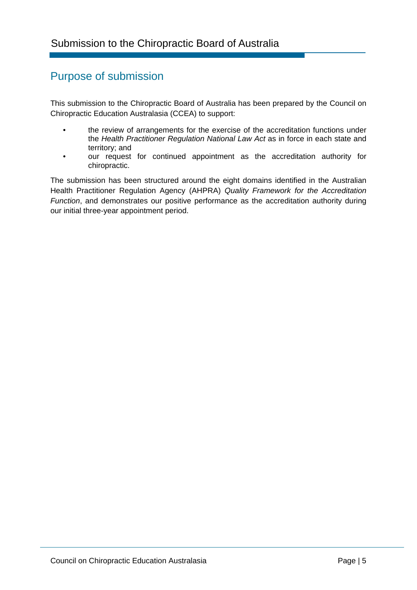# Purpose of submission

This submission to the Chiropractic Board of Australia has been prepared by the Council on Chiropractic Education Australasia (CCEA) to support:

- the review of arrangements for the exercise of the accreditation functions under the *Health Practitioner Regulation National Law Act* as in force in each state and territory; and
- our request for continued appointment as the accreditation authority for chiropractic.

The submission has been structured around the eight domains identified in the Australian Health Practitioner Regulation Agency (AHPRA) *Quality Framework for the Accreditation Function*, and demonstrates our positive performance as the accreditation authority during our initial three-year appointment period.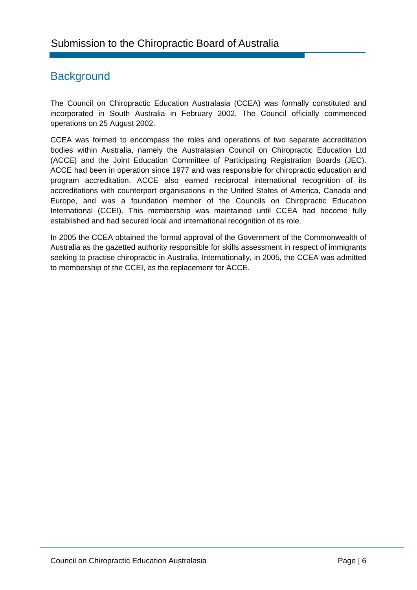# **Background**

The Council on Chiropractic Education Australasia (CCEA) was formally constituted and incorporated in South Australia in February 2002. The Council officially commenced operations on 25 August 2002.

CCEA was formed to encompass the roles and operations of two separate accreditation bodies within Australia, namely the Australasian Council on Chiropractic Education Ltd (ACCE) and the Joint Education Committee of Participating Registration Boards (JEC). ACCE had been in operation since 1977 and was responsible for chiropractic education and program accreditation. ACCE also earned reciprocal international recognition of its accreditations with counterpart organisations in the United States of America, Canada and Europe, and was a foundation member of the Councils on Chiropractic Education International (CCEI). This membership was maintained until CCEA had become fully established and had secured local and international recognition of its role.

In 2005 the CCEA obtained the formal approval of the Government of the Commonwealth of Australia as the gazetted authority responsible for skills assessment in respect of immigrants seeking to practise chiropractic in Australia. Internationally, in 2005, the CCEA was admitted to membership of the CCEI, as the replacement for ACCE.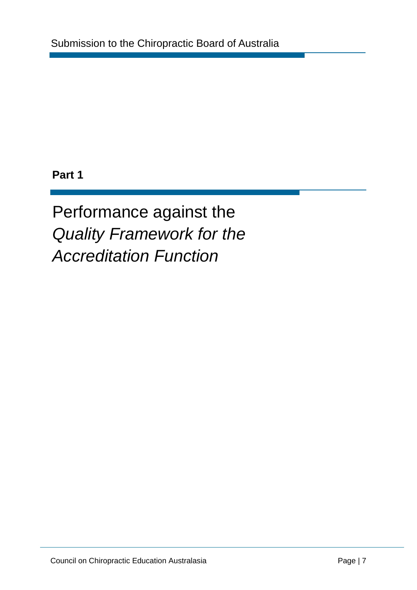# **Part 1**

Performance against the *Quality Framework for the Accreditation Function*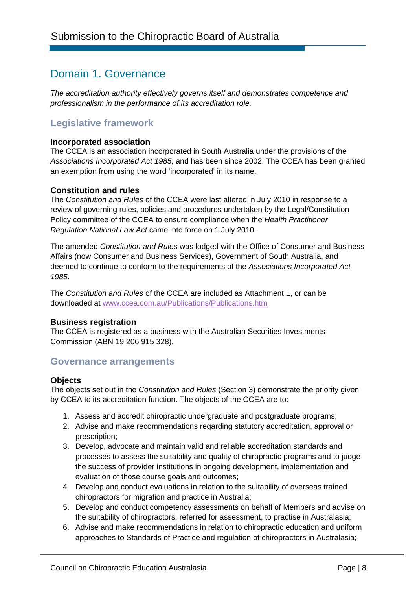# Domain 1. Governance

*The accreditation authority effectively governs itself and demonstrates competence and professionalism in the performance of its accreditation role.* 

# **Legislative framework**

#### **Incorporated association**

The CCEA is an association incorporated in South Australia under the provisions of the *Associations Incorporated Act 1985*, and has been since 2002. The CCEA has been granted an exemption from using the word 'incorporated' in its name.

#### **Constitution and rules**

The *Constitution and Rules* of the CCEA were last altered in July 2010 in response to a review of governing rules, policies and procedures undertaken by the Legal/Constitution Policy committee of the CCEA to ensure compliance when the *Health Practitioner Regulation National Law Act* came into force on 1 July 2010.

The amended *Constitution and Rules* was lodged with the Office of Consumer and Business Affairs (now Consumer and Business Services), Government of South Australia, and deemed to continue to conform to the requirements of the *Associations Incorporated Act 1985*.

The *Constitution and Rules* of the CCEA are included as Attachment 1, or can be downloaded at www.ccea.com.au/Publications/Publications.htm

#### **Business registration**

The CCEA is registered as a business with the Australian Securities Investments Commission (ABN 19 206 915 328).

# **Governance arrangements**

#### **Objects**

The objects set out in the *Constitution and Rules* (Section 3) demonstrate the priority given by CCEA to its accreditation function. The objects of the CCEA are to:

- 1. Assess and accredit chiropractic undergraduate and postgraduate programs;
- 2. Advise and make recommendations regarding statutory accreditation, approval or prescription;
- 3. Develop, advocate and maintain valid and reliable accreditation standards and processes to assess the suitability and quality of chiropractic programs and to judge the success of provider institutions in ongoing development, implementation and evaluation of those course goals and outcomes;
- 4. Develop and conduct evaluations in relation to the suitability of overseas trained chiropractors for migration and practice in Australia;
- 5. Develop and conduct competency assessments on behalf of Members and advise on the suitability of chiropractors, referred for assessment, to practise in Australasia;
- 6. Advise and make recommendations in relation to chiropractic education and uniform approaches to Standards of Practice and regulation of chiropractors in Australasia;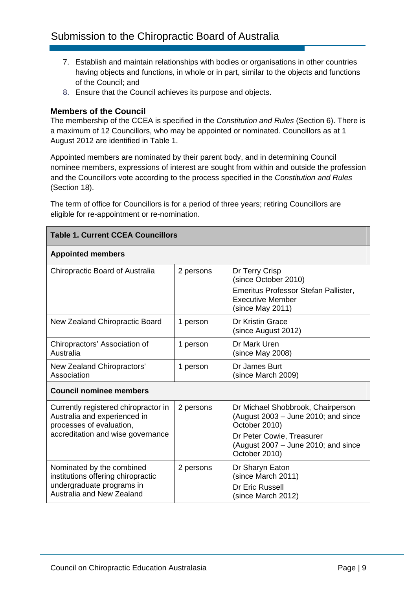- 7. Establish and maintain relationships with bodies or organisations in other countries having objects and functions, in whole or in part, similar to the objects and functions of the Council; and
- 8. Ensure that the Council achieves its purpose and objects.

#### **Members of the Council**

The membership of the CCEA is specified in the *Constitution and Rules* (Section 6). There is a maximum of 12 Councillors, who may be appointed or nominated. Councillors as at 1 August 2012 are identified in Table 1.

Appointed members are nominated by their parent body, and in determining Council nominee members, expressions of interest are sought from within and outside the profession and the Councillors vote according to the process specified in the *Constitution and Rules* (Section 18).

The term of office for Councillors is for a period of three years; retiring Councillors are eligible for re-appointment or re-nomination.

| <b>Table 1. Current CCEA Councillors</b>                                                                                              |           |                                                                                                                                                                 |
|---------------------------------------------------------------------------------------------------------------------------------------|-----------|-----------------------------------------------------------------------------------------------------------------------------------------------------------------|
| <b>Appointed members</b>                                                                                                              |           |                                                                                                                                                                 |
| Chiropractic Board of Australia                                                                                                       | 2 persons | Dr Terry Crisp<br>(since October 2010)<br>Emeritus Professor Stefan Pallister,<br><b>Executive Member</b><br>(since May 2011)                                   |
| New Zealand Chiropractic Board                                                                                                        | 1 person  | Dr Kristin Grace<br>(since August 2012)                                                                                                                         |
| Chiropractors' Association of<br>Australia                                                                                            | 1 person  | Dr Mark Uren<br>(since May 2008)                                                                                                                                |
| New Zealand Chiropractors'<br>Association                                                                                             | 1 person  | Dr James Burt<br>(since March 2009)                                                                                                                             |
| <b>Council nominee members</b>                                                                                                        |           |                                                                                                                                                                 |
| Currently registered chiropractor in<br>Australia and experienced in<br>processes of evaluation,<br>accreditation and wise governance | 2 persons | Dr Michael Shobbrook, Chairperson<br>(August $2003 -$ June 2010; and since<br>October 2010)<br>Dr Peter Cowie, Treasurer<br>(August 2007 - June 2010; and since |
|                                                                                                                                       |           | October 2010)                                                                                                                                                   |
| Nominated by the combined<br>institutions offering chiropractic<br>undergraduate programs in<br>Australia and New Zealand             | 2 persons | Dr Sharyn Eaton<br>(since March 2011)<br>Dr Eric Russell<br>(since March 2012)                                                                                  |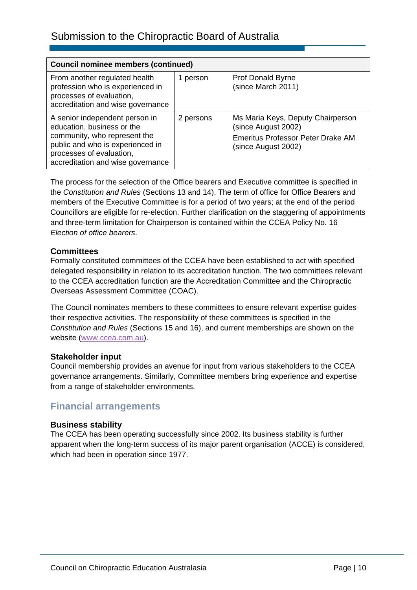| <b>Council nominee members (continued)</b>                                                                                                                                                        |           |                                                                                                                      |
|---------------------------------------------------------------------------------------------------------------------------------------------------------------------------------------------------|-----------|----------------------------------------------------------------------------------------------------------------------|
| From another regulated health<br>profession who is experienced in<br>processes of evaluation,<br>accreditation and wise governance                                                                | 1 person  | Prof Donald Byrne<br>(since March 2011)                                                                              |
| A senior independent person in<br>education, business or the<br>community, who represent the<br>public and who is experienced in<br>processes of evaluation,<br>accreditation and wise governance | 2 persons | Ms Maria Keys, Deputy Chairperson<br>(since August 2002)<br>Emeritus Professor Peter Drake AM<br>(since August 2002) |

The process for the selection of the Office bearers and Executive committee is specified in the *Constitution and Rules* (Sections 13 and 14). The term of office for Office Bearers and members of the Executive Committee is for a period of two years; at the end of the period Councillors are eligible for re-election. Further clarification on the staggering of appointments and three-term limitation for Chairperson is contained within the CCEA Policy No. 16 *Election of office bearers*.

### **Committees**

Formally constituted committees of the CCEA have been established to act with specified delegated responsibility in relation to its accreditation function. The two committees relevant to the CCEA accreditation function are the Accreditation Committee and the Chiropractic Overseas Assessment Committee (COAC).

The Council nominates members to these committees to ensure relevant expertise guides their respective activities. The responsibility of these committees is specified in the *Constitution and Rules* (Sections 15 and 16), and current memberships are shown on the website (www.ccea.com.au).

#### **Stakeholder input**

Council membership provides an avenue for input from various stakeholders to the CCEA governance arrangements. Similarly, Committee members bring experience and expertise from a range of stakeholder environments.

# **Financial arrangements**

#### **Business stability**

The CCEA has been operating successfully since 2002. Its business stability is further apparent when the long-term success of its major parent organisation (ACCE) is considered, which had been in operation since 1977.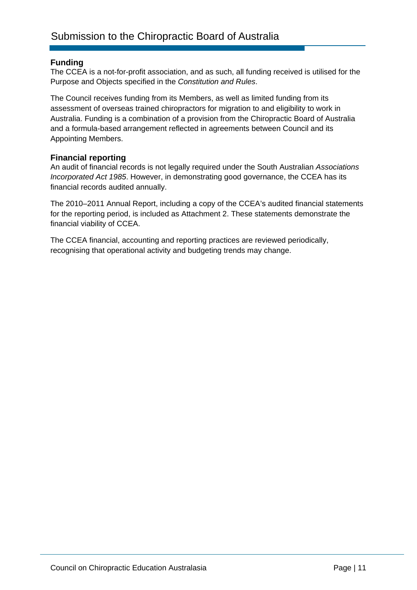#### **Funding**

The CCEA is a not-for-profit association, and as such, all funding received is utilised for the Purpose and Objects specified in the *Constitution and Rules*.

The Council receives funding from its Members, as well as limited funding from its assessment of overseas trained chiropractors for migration to and eligibility to work in Australia. Funding is a combination of a provision from the Chiropractic Board of Australia and a formula-based arrangement reflected in agreements between Council and its Appointing Members.

#### **Financial reporting**

An audit of financial records is not legally required under the South Australian *Associations Incorporated Act 1985*. However, in demonstrating good governance, the CCEA has its financial records audited annually.

The 2010–2011 Annual Report, including a copy of the CCEA's audited financial statements for the reporting period, is included as Attachment 2. These statements demonstrate the financial viability of CCEA.

The CCEA financial, accounting and reporting practices are reviewed periodically, recognising that operational activity and budgeting trends may change.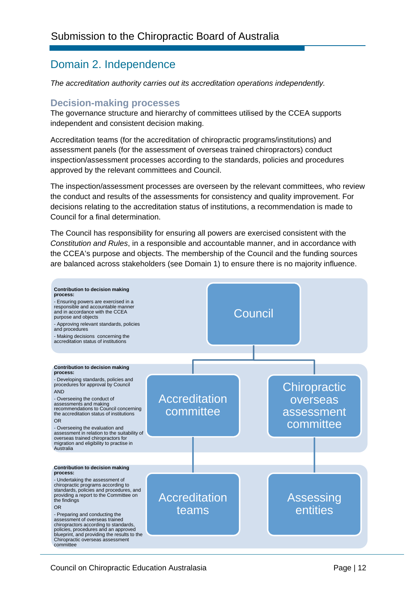# Domain 2. Independence

*The accreditation authority carries out its accreditation operations independently.* 

### **Decision-making processes**

The governance structure and hierarchy of committees utilised by the CCEA supports independent and consistent decision making.

Accreditation teams (for the accreditation of chiropractic programs/institutions) and assessment panels (for the assessment of overseas trained chiropractors) conduct inspection/assessment processes according to the standards, policies and procedures approved by the relevant committees and Council.

The inspection/assessment processes are overseen by the relevant committees, who review the conduct and results of the assessments for consistency and quality improvement. For decisions relating to the accreditation status of institutions, a recommendation is made to Council for a final determination.

The Council has responsibility for ensuring all powers are exercised consistent with the *Constitution and Rules*, in a responsible and accountable manner, and in accordance with the CCEA's purpose and objects. The membership of the Council and the funding sources are balanced across stakeholders (see Domain 1) to ensure there is no majority influence.

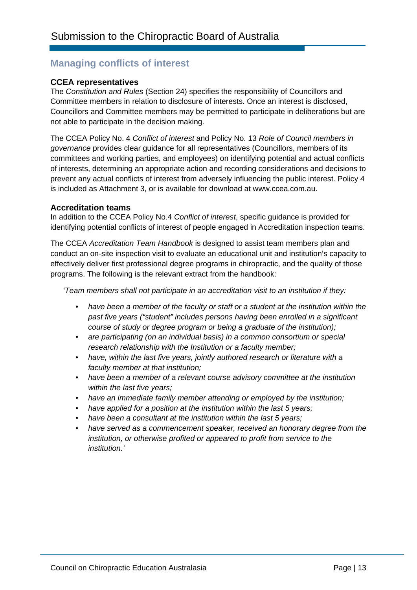# **Managing conflicts of interest**

#### **CCEA representatives**

The *Constitution and Rules* (Section 24) specifies the responsibility of Councillors and Committee members in relation to disclosure of interests. Once an interest is disclosed, Councillors and Committee members may be permitted to participate in deliberations but are not able to participate in the decision making.

The CCEA Policy No. 4 *Conflict of interest* and Policy No. 13 *Role of Council members in governance* provides clear guidance for all representatives (Councillors, members of its committees and working parties, and employees) on identifying potential and actual conflicts of interests, determining an appropriate action and recording considerations and decisions to prevent any actual conflicts of interest from adversely influencing the public interest. Policy 4 is included as Attachment 3, or is available for download at www.ccea.com.au.

#### **Accreditation teams**

In addition to the CCEA Policy No.4 *Conflict of interest*, specific guidance is provided for identifying potential conflicts of interest of people engaged in Accreditation inspection teams.

The CCEA *Accreditation Team Handbook* is designed to assist team members plan and conduct an on-site inspection visit to evaluate an educational unit and institution's capacity to effectively deliver first professional degree programs in chiropractic, and the quality of those programs. The following is the relevant extract from the handbook:

*'Team members shall not participate in an accreditation visit to an institution if they:* 

- *have been a member of the faculty or staff or a student at the institution within the past five years ("student" includes persons having been enrolled in a significant course of study or degree program or being a graduate of the institution);*
- *are participating (on an individual basis) in a common consortium or special research relationship with the Institution or a faculty member;*
- *have, within the last five years, jointly authored research or literature with a faculty member at that institution;*
- *have been a member of a relevant course advisory committee at the institution within the last five years;*
- *have an immediate family member attending or employed by the institution;*
- *have applied for a position at the institution within the last 5 years;*
- *have been a consultant at the institution within the last 5 years;*
- *have served as a commencement speaker, received an honorary degree from the institution, or otherwise profited or appeared to profit from service to the institution.'*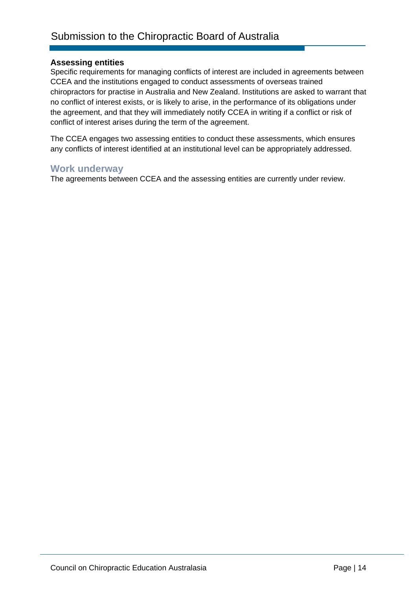#### **Assessing entities**

Specific requirements for managing conflicts of interest are included in agreements between CCEA and the institutions engaged to conduct assessments of overseas trained chiropractors for practise in Australia and New Zealand. Institutions are asked to warrant that no conflict of interest exists, or is likely to arise, in the performance of its obligations under the agreement, and that they will immediately notify CCEA in writing if a conflict or risk of conflict of interest arises during the term of the agreement.

The CCEA engages two assessing entities to conduct these assessments, which ensures any conflicts of interest identified at an institutional level can be appropriately addressed.

#### **Work underway**

The agreements between CCEA and the assessing entities are currently under review.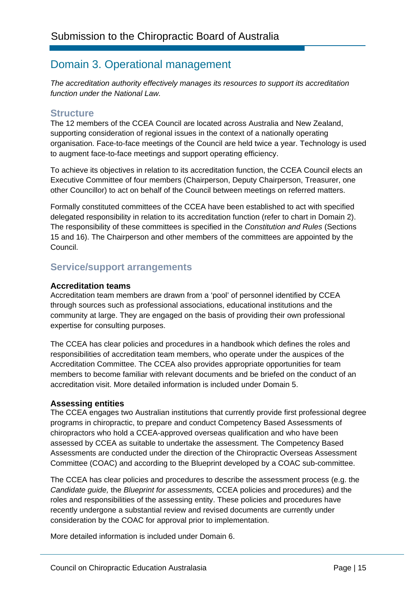# Domain 3. Operational management

*The accreditation authority effectively manages its resources to support its accreditation function under the National Law.* 

### **Structure**

The 12 members of the CCEA Council are located across Australia and New Zealand, supporting consideration of regional issues in the context of a nationally operating organisation. Face-to-face meetings of the Council are held twice a year. Technology is used to augment face-to-face meetings and support operating efficiency.

To achieve its objectives in relation to its accreditation function, the CCEA Council elects an Executive Committee of four members (Chairperson, Deputy Chairperson, Treasurer, one other Councillor) to act on behalf of the Council between meetings on referred matters.

Formally constituted committees of the CCEA have been established to act with specified delegated responsibility in relation to its accreditation function (refer to chart in Domain 2). The responsibility of these committees is specified in the *Constitution and Rules* (Sections 15 and 16). The Chairperson and other members of the committees are appointed by the Council.

# **Service/support arrangements**

#### **Accreditation teams**

Accreditation team members are drawn from a 'pool' of personnel identified by CCEA through sources such as professional associations, educational institutions and the community at large. They are engaged on the basis of providing their own professional expertise for consulting purposes.

The CCEA has clear policies and procedures in a handbook which defines the roles and responsibilities of accreditation team members, who operate under the auspices of the Accreditation Committee. The CCEA also provides appropriate opportunities for team members to become familiar with relevant documents and be briefed on the conduct of an accreditation visit. More detailed information is included under Domain 5.

#### **Assessing entities**

The CCEA engages two Australian institutions that currently provide first professional degree programs in chiropractic, to prepare and conduct Competency Based Assessments of chiropractors who hold a CCEA-approved overseas qualification and who have been assessed by CCEA as suitable to undertake the assessment. The Competency Based Assessments are conducted under the direction of the Chiropractic Overseas Assessment Committee (COAC) and according to the Blueprint developed by a COAC sub-committee.

The CCEA has clear policies and procedures to describe the assessment process (e.g. the *Candidate guide,* the *Blueprint for assessments,* CCEA policies and procedures) and the roles and responsibilities of the assessing entity. These policies and procedures have recently undergone a substantial review and revised documents are currently under consideration by the COAC for approval prior to implementation.

More detailed information is included under Domain 6.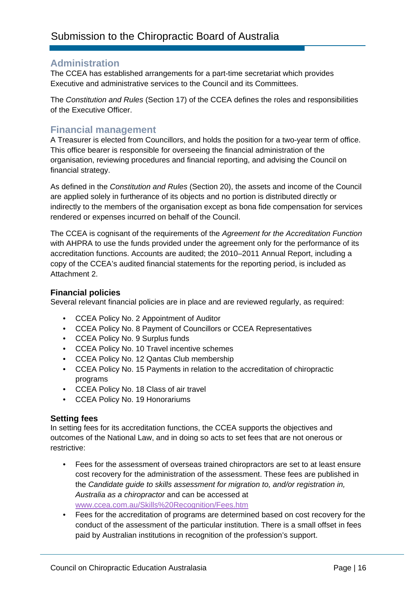### **Administration**

The CCEA has established arrangements for a part-time secretariat which provides Executive and administrative services to the Council and its Committees.

The *Constitution and Rules* (Section 17) of the CCEA defines the roles and responsibilities of the Executive Officer.

### **Financial management**

A Treasurer is elected from Councillors, and holds the position for a two-year term of office. This office bearer is responsible for overseeing the financial administration of the organisation, reviewing procedures and financial reporting, and advising the Council on financial strategy.

As defined in the *Constitution and Rules* (Section 20), the assets and income of the Council are applied solely in furtherance of its objects and no portion is distributed directly or indirectly to the members of the organisation except as bona fide compensation for services rendered or expenses incurred on behalf of the Council.

The CCEA is cognisant of the requirements of the *Agreement for the Accreditation Function* with AHPRA to use the funds provided under the agreement only for the performance of its accreditation functions. Accounts are audited; the 2010–2011 Annual Report, including a copy of the CCEA's audited financial statements for the reporting period, is included as Attachment 2.

#### **Financial policies**

Several relevant financial policies are in place and are reviewed regularly, as required:

- CCEA Policy No. 2 Appointment of Auditor
- CCEA Policy No. 8 Payment of Councillors or CCEA Representatives
- CCEA Policy No. 9 Surplus funds
- CCEA Policy No. 10 Travel incentive schemes
- CCEA Policy No. 12 Qantas Club membership
- CCEA Policy No. 15 Payments in relation to the accreditation of chiropractic programs
- CCEA Policy No. 18 Class of air travel
- CCEA Policy No. 19 Honorariums

#### **Setting fees**

In setting fees for its accreditation functions, the CCEA supports the objectives and outcomes of the National Law, and in doing so acts to set fees that are not onerous or restrictive:

- Fees for the assessment of overseas trained chiropractors are set to at least ensure cost recovery for the administration of the assessment. These fees are published in the *Candidate guide to skills assessment for migration to, and/or registration in, Australia as a chiropractor* and can be accessed at www.ccea.com.au/Skills%20Recognition/Fees.htm
- Fees for the accreditation of programs are determined based on cost recovery for the conduct of the assessment of the particular institution. There is a small offset in fees paid by Australian institutions in recognition of the profession's support.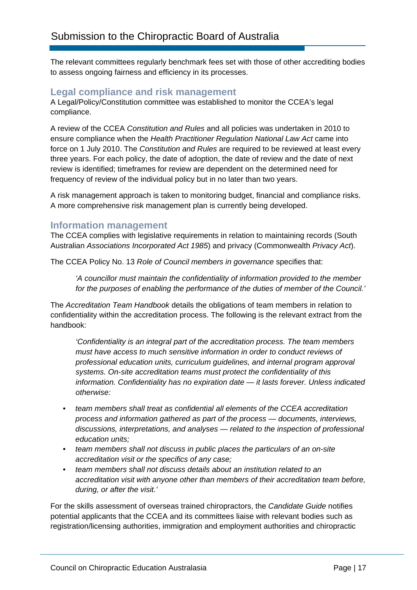The relevant committees regularly benchmark fees set with those of other accrediting bodies to assess ongoing fairness and efficiency in its processes.

### **Legal compliance and risk management**

A Legal/Policy/Constitution committee was established to monitor the CCEA's legal compliance.

A review of the CCEA *Constitution and Rules* and all policies was undertaken in 2010 to ensure compliance when the *Health Practitioner Regulation National Law Act* came into force on 1 July 2010. The *Constitution and Rules* are required to be reviewed at least every three years. For each policy, the date of adoption, the date of review and the date of next review is identified; timeframes for review are dependent on the determined need for frequency of review of the individual policy but in no later than two years.

A risk management approach is taken to monitoring budget, financial and compliance risks. A more comprehensive risk management plan is currently being developed.

#### **Information management**

The CCEA complies with legislative requirements in relation to maintaining records (South Australian *Associations Incorporated Act 1985*) and privacy (Commonwealth *Privacy Act*).

The CCEA Policy No. 13 *Role of Council members in governance* specifies that:

*'A councillor must maintain the confidentiality of information provided to the member for the purposes of enabling the performance of the duties of member of the Council.'* 

The *Accreditation Team Handbook* details the obligations of team members in relation to confidentiality within the accreditation process. The following is the relevant extract from the handbook:

*'Confidentiality is an integral part of the accreditation process. The team members must have access to much sensitive information in order to conduct reviews of professional education units, curriculum guidelines, and internal program approval systems. On-site accreditation teams must protect the confidentiality of this information. Confidentiality has no expiration date — it lasts forever. Unless indicated otherwise:* 

- *team members shall treat as confidential all elements of the CCEA accreditation process and information gathered as part of the process — documents, interviews, discussions, interpretations, and analyses — related to the inspection of professional education units;*
- *team members shall not discuss in public places the particulars of an on-site accreditation visit or the specifics of any case;*
- *team members shall not discuss details about an institution related to an accreditation visit with anyone other than members of their accreditation team before, during, or after the visit.'*

For the skills assessment of overseas trained chiropractors, the *Candidate Guide* notifies potential applicants that the CCEA and its committees liaise with relevant bodies such as registration/licensing authorities, immigration and employment authorities and chiropractic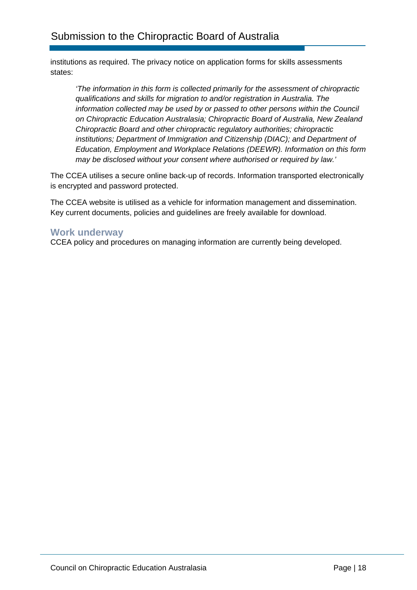institutions as required. The privacy notice on application forms for skills assessments states:

*'The information in this form is collected primarily for the assessment of chiropractic qualifications and skills for migration to and/or registration in Australia. The information collected may be used by or passed to other persons within the Council on Chiropractic Education Australasia; Chiropractic Board of Australia, New Zealand Chiropractic Board and other chiropractic regulatory authorities; chiropractic institutions; Department of Immigration and Citizenship (DIAC); and Department of Education, Employment and Workplace Relations (DEEWR). Information on this form may be disclosed without your consent where authorised or required by law.'* 

The CCEA utilises a secure online back-up of records. Information transported electronically is encrypted and password protected.

The CCEA website is utilised as a vehicle for information management and dissemination. Key current documents, policies and guidelines are freely available for download.

### **Work underway**

CCEA policy and procedures on managing information are currently being developed.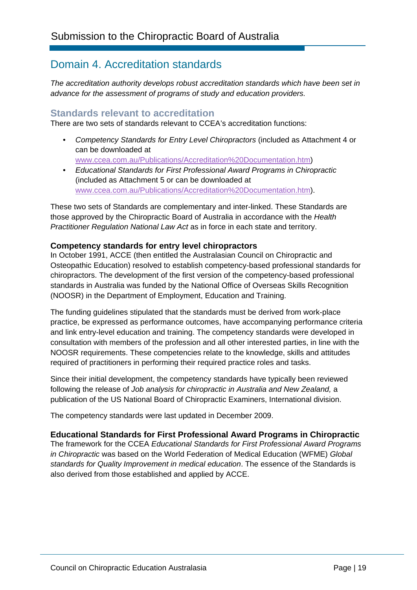# Domain 4. Accreditation standards

*The accreditation authority develops robust accreditation standards which have been set in advance for the assessment of programs of study and education providers.* 

### **Standards relevant to accreditation**

There are two sets of standards relevant to CCEA's accreditation functions:

• *Competency Standards for Entry Level Chiropractors* (included as Attachment 4 or can be downloaded at

www.ccea.com.au/Publications/Accreditation%20Documentation.htm)

• *Educational Standards for First Professional Award Programs in Chiropractic* (included as Attachment 5 or can be downloaded at www.ccea.com.au/Publications/Accreditation%20Documentation.htm).

These two sets of Standards are complementary and inter-linked. These Standards are those approved by the Chiropractic Board of Australia in accordance with the *Health Practitioner Regulation National Law Act* as in force in each state and territory.

#### **Competency standards for entry level chiropractors**

In October 1991, ACCE (then entitled the Australasian Council on Chiropractic and Osteopathic Education) resolved to establish competency-based professional standards for chiropractors. The development of the first version of the competency-based professional standards in Australia was funded by the National Office of Overseas Skills Recognition (NOOSR) in the Department of Employment, Education and Training.

The funding guidelines stipulated that the standards must be derived from work-place practice, be expressed as performance outcomes, have accompanying performance criteria and link entry-level education and training. The competency standards were developed in consultation with members of the profession and all other interested parties, in line with the NOOSR requirements. These competencies relate to the knowledge, skills and attitudes required of practitioners in performing their required practice roles and tasks.

Since their initial development, the competency standards have typically been reviewed following the release of *Job analysis for chiropractic in Australia and New Zealand,* a publication of the US National Board of Chiropractic Examiners, International division.

The competency standards were last updated in December 2009.

#### **Educational Standards for First Professional Award Programs in Chiropractic**

The framework for the CCEA *Educational Standards for First Professional Award Programs in Chiropractic* was based on the World Federation of Medical Education (WFME) *Global standards for Quality Improvement in medical education*. The essence of the Standards is also derived from those established and applied by ACCE.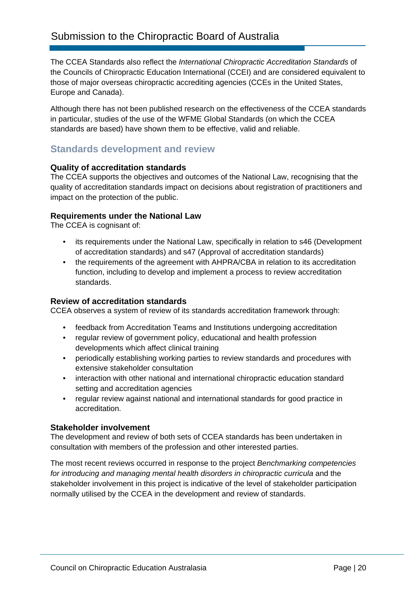The CCEA Standards also reflect the *International Chiropractic Accreditation Standards* of the Councils of Chiropractic Education International (CCEI) and are considered equivalent to those of major overseas chiropractic accrediting agencies (CCEs in the United States, Europe and Canada).

Although there has not been published research on the effectiveness of the CCEA standards in particular, studies of the use of the WFME Global Standards (on which the CCEA standards are based) have shown them to be effective, valid and reliable.

# **Standards development and review**

#### **Quality of accreditation standards**

The CCEA supports the objectives and outcomes of the National Law, recognising that the quality of accreditation standards impact on decisions about registration of practitioners and impact on the protection of the public.

#### **Requirements under the National Law**

The CCEA is cognisant of:

- its requirements under the National Law, specifically in relation to s46 (Development of accreditation standards) and s47 (Approval of accreditation standards)
- the requirements of the agreement with AHPRA/CBA in relation to its accreditation function, including to develop and implement a process to review accreditation standards.

#### **Review of accreditation standards**

CCEA observes a system of review of its standards accreditation framework through:

- feedback from Accreditation Teams and Institutions undergoing accreditation
- regular review of government policy, educational and health profession developments which affect clinical training
- periodically establishing working parties to review standards and procedures with extensive stakeholder consultation
- interaction with other national and international chiropractic education standard setting and accreditation agencies
- regular review against national and international standards for good practice in accreditation.

#### **Stakeholder involvement**

The development and review of both sets of CCEA standards has been undertaken in consultation with members of the profession and other interested parties.

The most recent reviews occurred in response to the project *Benchmarking competencies for introducing and managing mental health disorders in chiropractic curricula* and the stakeholder involvement in this project is indicative of the level of stakeholder participation normally utilised by the CCEA in the development and review of standards.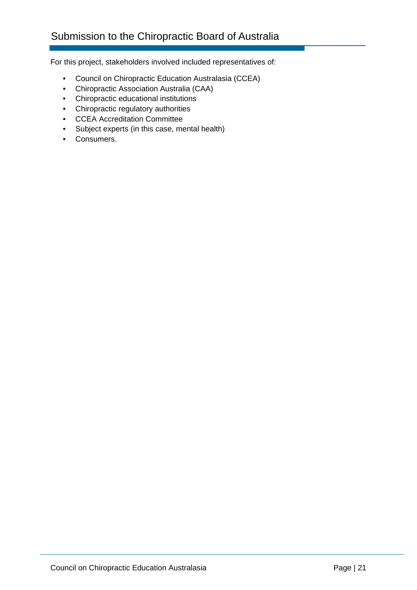# Submission to the Chiropractic Board of Australia

For this project, stakeholders involved included representatives of:

- Council on Chiropractic Education Australasia (CCEA)
- Chiropractic Association Australia (CAA)
- Chiropractic educational institutions
- Chiropractic regulatory authorities
- CCEA Accreditation Committee
- Subject experts (in this case, mental health)
- Consumers.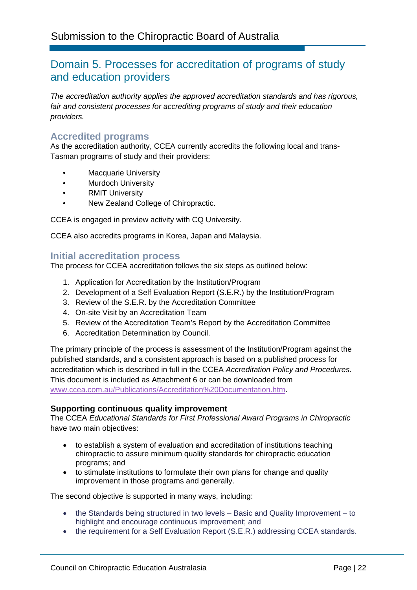# Domain 5. Processes for accreditation of programs of study and education providers

*The accreditation authority applies the approved accreditation standards and has rigorous, fair and consistent processes for accrediting programs of study and their education providers.* 

### **Accredited programs**

As the accreditation authority, CCEA currently accredits the following local and trans-Tasman programs of study and their providers:

- Macquarie University
- Murdoch University
- RMIT University
- New Zealand College of Chiropractic.

CCEA is engaged in preview activity with CQ University.

CCEA also accredits programs in Korea, Japan and Malaysia.

#### **Initial accreditation process**

The process for CCEA accreditation follows the six steps as outlined below:

- 1. Application for Accreditation by the Institution/Program
- 2. Development of a Self Evaluation Report (S.E.R.) by the Institution/Program
- 3. Review of the S.E.R. by the Accreditation Committee
- 4. On-site Visit by an Accreditation Team
- 5. Review of the Accreditation Team's Report by the Accreditation Committee
- 6. Accreditation Determination by Council.

The primary principle of the process is assessment of the Institution/Program against the published standards, and a consistent approach is based on a published process for accreditation which is described in full in the CCEA *Accreditation Policy and Procedures.* This document is included as Attachment 6 or can be downloaded from www.ccea.com.au/Publications/Accreditation%20Documentation.htm.

#### **Supporting continuous quality improvement**

The CCEA *Educational Standards for First Professional Award Programs in Chiropractic* have two main objectives:

- to establish a system of evaluation and accreditation of institutions teaching chiropractic to assure minimum quality standards for chiropractic education programs; and
- to stimulate institutions to formulate their own plans for change and quality improvement in those programs and generally.

The second objective is supported in many ways, including:

- the Standards being structured in two levels Basic and Quality Improvement to highlight and encourage continuous improvement; and
- the requirement for a Self Evaluation Report (S.E.R.) addressing CCEA standards.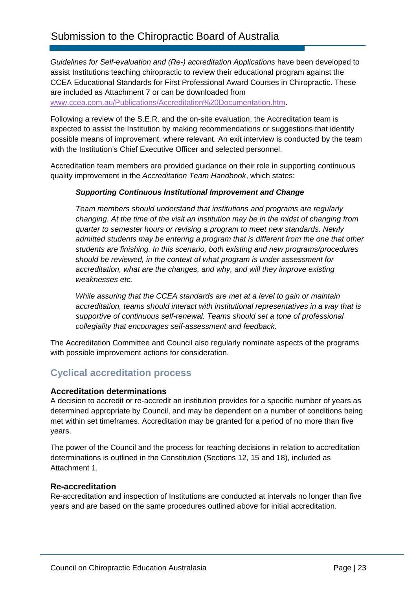*Guidelines for Self-evaluation and (Re-) accreditation Applications* have been developed to assist Institutions teaching chiropractic to review their educational program against the CCEA Educational Standards for First Professional Award Courses in Chiropractic. These are included as Attachment 7 or can be downloaded from www.ccea.com.au/Publications/Accreditation%20Documentation.htm.

Following a review of the S.E.R. and the on-site evaluation, the Accreditation team is expected to assist the Institution by making recommendations or suggestions that identify possible means of improvement, where relevant. An exit interview is conducted by the team with the Institution's Chief Executive Officer and selected personnel.

Accreditation team members are provided guidance on their role in supporting continuous quality improvement in the *Accreditation Team Handbook*, which states:

#### *Supporting Continuous Institutional Improvement and Change*

*Team members should understand that institutions and programs are regularly changing. At the time of the visit an institution may be in the midst of changing from quarter to semester hours or revising a program to meet new standards. Newly admitted students may be entering a program that is different from the one that other students are finishing. In this scenario, both existing and new programs/procedures should be reviewed, in the context of what program is under assessment for accreditation, what are the changes, and why, and will they improve existing weaknesses etc.* 

*While assuring that the CCEA standards are met at a level to gain or maintain accreditation, teams should interact with institutional representatives in a way that is supportive of continuous self-renewal. Teams should set a tone of professional collegiality that encourages self-assessment and feedback.* 

The Accreditation Committee and Council also regularly nominate aspects of the programs with possible improvement actions for consideration.

# **Cyclical accreditation process**

#### **Accreditation determinations**

A decision to accredit or re-accredit an institution provides for a specific number of years as determined appropriate by Council, and may be dependent on a number of conditions being met within set timeframes. Accreditation may be granted for a period of no more than five years.

The power of the Council and the process for reaching decisions in relation to accreditation determinations is outlined in the Constitution (Sections 12, 15 and 18), included as Attachment 1.

#### **Re-accreditation**

Re‐accreditation and inspection of Institutions are conducted at intervals no longer than five years and are based on the same procedures outlined above for initial accreditation.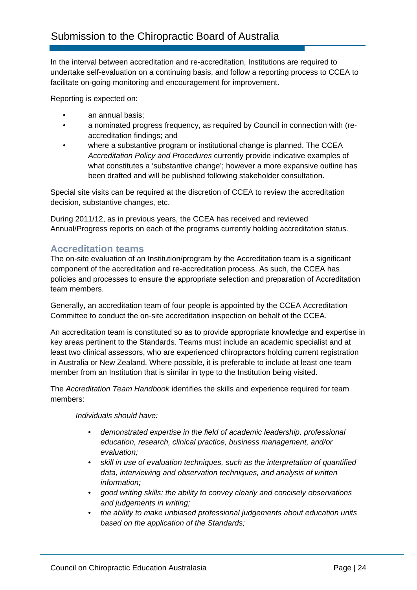In the interval between accreditation and re-accreditation, Institutions are required to undertake self-evaluation on a continuing basis, and follow a reporting process to CCEA to facilitate on-going monitoring and encouragement for improvement.

Reporting is expected on:

- an annual basis:
- a nominated progress frequency, as required by Council in connection with (reaccreditation findings; and
- where a substantive program or institutional change is planned. The CCEA *Accreditation Policy and Procedures* currently provide indicative examples of what constitutes a 'substantive change'; however a more expansive outline has been drafted and will be published following stakeholder consultation.

Special site visits can be required at the discretion of CCEA to review the accreditation decision, substantive changes, etc.

During 2011/12, as in previous years, the CCEA has received and reviewed Annual/Progress reports on each of the programs currently holding accreditation status.

### **Accreditation teams**

The on-site evaluation of an Institution/program by the Accreditation team is a significant component of the accreditation and re-accreditation process. As such, the CCEA has policies and processes to ensure the appropriate selection and preparation of Accreditation team members.

Generally, an accreditation team of four people is appointed by the CCEA Accreditation Committee to conduct the on-site accreditation inspection on behalf of the CCEA.

An accreditation team is constituted so as to provide appropriate knowledge and expertise in key areas pertinent to the Standards. Teams must include an academic specialist and at least two clinical assessors, who are experienced chiropractors holding current registration in Australia or New Zealand. Where possible, it is preferable to include at least one team member from an Institution that is similar in type to the Institution being visited.

The *Accreditation Team Handbook* identifies the skills and experience required for team members:

*Individuals should have:* 

- *demonstrated expertise in the field of academic leadership, professional education, research, clinical practice, business management, and/or evaluation;*
- *skill in use of evaluation techniques, such as the interpretation of quantified data, interviewing and observation techniques, and analysis of written information;*
- *good writing skills: the ability to convey clearly and concisely observations and judgements in writing;*
- *the ability to make unbiased professional judgements about education units based on the application of the Standards;*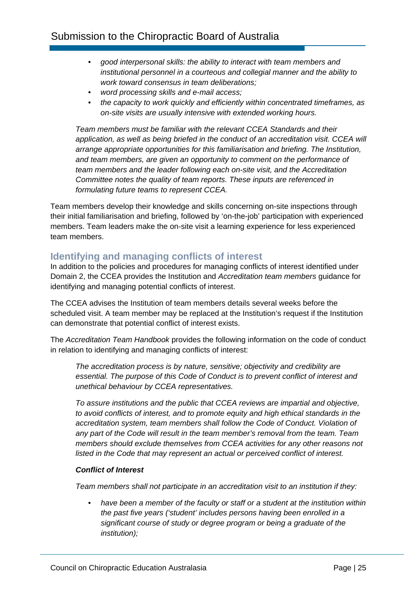- *good interpersonal skills: the ability to interact with team members and institutional personnel in a courteous and collegial manner and the ability to work toward consensus in team deliberations;*
- *word processing skills and e-mail access;*
- *the capacity to work quickly and efficiently within concentrated timeframes, as on-site visits are usually intensive with extended working hours.*

*Team members must be familiar with the relevant CCEA Standards and their*  application, as well as being briefed in the conduct of an accreditation visit. CCEA will *arrange appropriate opportunities for this familiarisation and briefing. The Institution, and team members, are given an opportunity to comment on the performance of team members and the leader following each on-site visit, and the Accreditation Committee notes the quality of team reports. These inputs are referenced in formulating future teams to represent CCEA.* 

Team members develop their knowledge and skills concerning on-site inspections through their initial familiarisation and briefing, followed by 'on-the-job' participation with experienced members. Team leaders make the on-site visit a learning experience for less experienced team members.

### **Identifying and managing conflicts of interest**

In addition to the policies and procedures for managing conflicts of interest identified under Domain 2, the CCEA provides the Institution and *Accreditation team members* guidance for identifying and managing potential conflicts of interest.

The CCEA advises the Institution of team members details several weeks before the scheduled visit. A team member may be replaced at the Institution's request if the Institution can demonstrate that potential conflict of interest exists.

The *Accreditation Team Handbook* provides the following information on the code of conduct in relation to identifying and managing conflicts of interest:

*The accreditation process is by nature, sensitive; objectivity and credibility are essential. The purpose of this Code of Conduct is to prevent conflict of interest and unethical behaviour by CCEA representatives.* 

*To assure institutions and the public that CCEA reviews are impartial and objective, to avoid conflicts of interest, and to promote equity and high ethical standards in the accreditation system, team members shall follow the Code of Conduct. Violation of any part of the Code will result in the team member's removal from the team. Team members should exclude themselves from CCEA activities for any other reasons not listed in the Code that may represent an actual or perceived conflict of interest.* 

#### *Conflict of Interest*

*Team members shall not participate in an accreditation visit to an institution if they:* 

• *have been a member of the faculty or staff or a student at the institution within the past five years ('student' includes persons having been enrolled in a significant course of study or degree program or being a graduate of the institution);*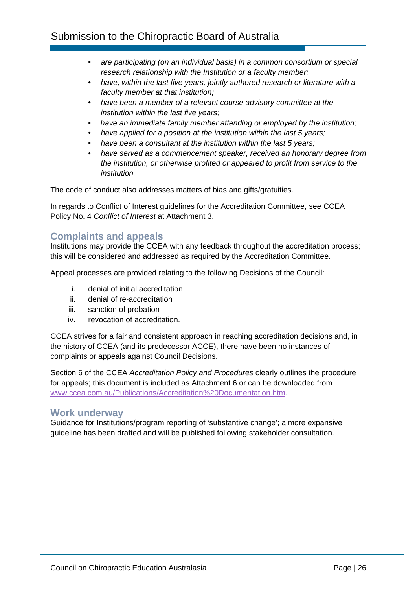- *are participating (on an individual basis) in a common consortium or special research relationship with the Institution or a faculty member;*
- *have, within the last five years, jointly authored research or literature with a faculty member at that institution;*
- *have been a member of a relevant course advisory committee at the institution within the last five years;*
- *have an immediate family member attending or employed by the institution;*
- *have applied for a position at the institution within the last 5 years;*
- *have been a consultant at the institution within the last 5 years;*
- *have served as a commencement speaker, received an honorary degree from the institution, or otherwise profited or appeared to profit from service to the institution.*

The code of conduct also addresses matters of bias and gifts/gratuities.

In regards to Conflict of Interest guidelines for the Accreditation Committee, see CCEA Policy No. 4 *Conflict of Interest* at Attachment 3.

# **Complaints and appeals**

Institutions may provide the CCEA with any feedback throughout the accreditation process; this will be considered and addressed as required by the Accreditation Committee.

Appeal processes are provided relating to the following Decisions of the Council:

- i. denial of initial accreditation
- ii. denial of re‐accreditation
- iii. sanction of probation
- iv. revocation of accreditation.

CCEA strives for a fair and consistent approach in reaching accreditation decisions and, in the history of CCEA (and its predecessor ACCE), there have been no instances of complaints or appeals against Council Decisions.

Section 6 of the CCEA *Accreditation Policy and Procedures* clearly outlines the procedure for appeals; this document is included as Attachment 6 or can be downloaded from www.ccea.com.au/Publications/Accreditation%20Documentation.htm.

### **Work underway**

Guidance for Institutions/program reporting of 'substantive change'; a more expansive guideline has been drafted and will be published following stakeholder consultation.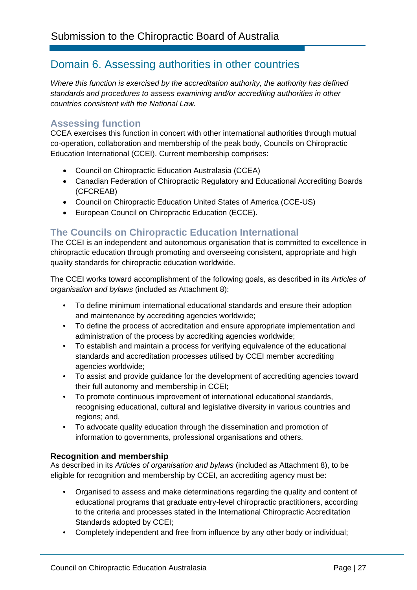# Domain 6. Assessing authorities in other countries

*Where this function is exercised by the accreditation authority, the authority has defined standards and procedures to assess examining and/or accrediting authorities in other countries consistent with the National Law.* 

# **Assessing function**

CCEA exercises this function in concert with other international authorities through mutual co-operation, collaboration and membership of the peak body, Councils on Chiropractic Education International (CCEI). Current membership comprises:

- Council on Chiropractic Education Australasia (CCEA)
- Canadian Federation of Chiropractic Regulatory and Educational Accrediting Boards (CFCREAB)
- Council on Chiropractic Education United States of America (CCE-US)
- European Council on Chiropractic Education (ECCE).

# **The Councils on Chiropractic Education International**

The CCEI is an independent and autonomous organisation that is committed to excellence in chiropractic education through promoting and overseeing consistent, appropriate and high quality standards for chiropractic education worldwide.

The CCEI works toward accomplishment of the following goals, as described in its *Articles of organisation and bylaws* (included as Attachment 8):

- To define minimum international educational standards and ensure their adoption and maintenance by accrediting agencies worldwide;
- To define the process of accreditation and ensure appropriate implementation and administration of the process by accrediting agencies worldwide;
- To establish and maintain a process for verifying equivalence of the educational standards and accreditation processes utilised by CCEI member accrediting agencies worldwide;
- To assist and provide guidance for the development of accrediting agencies toward their full autonomy and membership in CCEI;
- To promote continuous improvement of international educational standards, recognising educational, cultural and legislative diversity in various countries and regions; and,
- To advocate quality education through the dissemination and promotion of information to governments, professional organisations and others.

#### **Recognition and membership**

As described in its *Articles of organisation and bylaws* (included as Attachment 8), to be eligible for recognition and membership by CCEI, an accrediting agency must be:

- Organised to assess and make determinations regarding the quality and content of educational programs that graduate entry-level chiropractic practitioners, according to the criteria and processes stated in the International Chiropractic Accreditation Standards adopted by CCEI;
- Completely independent and free from influence by any other body or individual;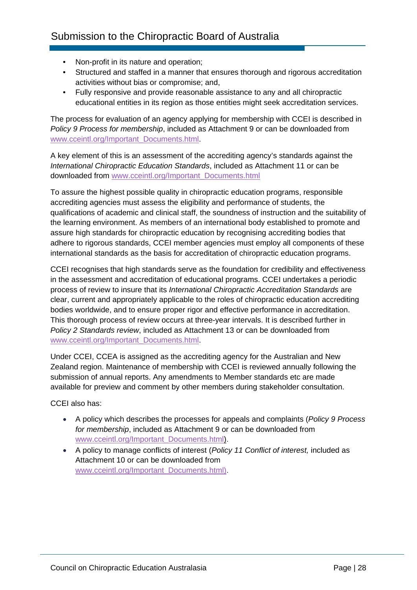- Non-profit in its nature and operation;
- Structured and staffed in a manner that ensures thorough and rigorous accreditation activities without bias or compromise; and,
- Fully responsive and provide reasonable assistance to any and all chiropractic educational entities in its region as those entities might seek accreditation services.

The process for evaluation of an agency applying for membership with CCEI is described in *Policy 9 Process for membership*, included as Attachment 9 or can be downloaded from www.cceintl.org/Important\_Documents.html.

A key element of this is an assessment of the accrediting agency's standards against the *International Chiropractic Education Standards*, included as Attachment 11 or can be downloaded from www.cceintl.org/Important\_Documents.html

To assure the highest possible quality in chiropractic education programs, responsible accrediting agencies must assess the eligibility and performance of students, the qualifications of academic and clinical staff, the soundness of instruction and the suitability of the learning environment. As members of an international body established to promote and assure high standards for chiropractic education by recognising accrediting bodies that adhere to rigorous standards, CCEI member agencies must employ all components of these international standards as the basis for accreditation of chiropractic education programs.

CCEI recognises that high standards serve as the foundation for credibility and effectiveness in the assessment and accreditation of educational programs. CCEI undertakes a periodic process of review to insure that its *International Chiropractic Accreditation Standards* are clear, current and appropriately applicable to the roles of chiropractic education accrediting bodies worldwide, and to ensure proper rigor and effective performance in accreditation. This thorough process of review occurs at three-year intervals. It is described further in *Policy 2 Standards review*, included as Attachment 13 or can be downloaded from www.cceintl.org/Important\_Documents.html.

Under CCEI, CCEA is assigned as the accrediting agency for the Australian and New Zealand region. Maintenance of membership with CCEI is reviewed annually following the submission of annual reports. Any amendments to Member standards etc are made available for preview and comment by other members during stakeholder consultation.

CCEI also has:

- A policy which describes the processes for appeals and complaints (*Policy 9 Process for membership*, included as Attachment 9 or can be downloaded from www.cceintl.org/Important\_Documents.html).
- A policy to manage conflicts of interest (*Policy 11 Conflict of interest,* included as Attachment 10 or can be downloaded from www.cceintl.org/Important\_Documents.html).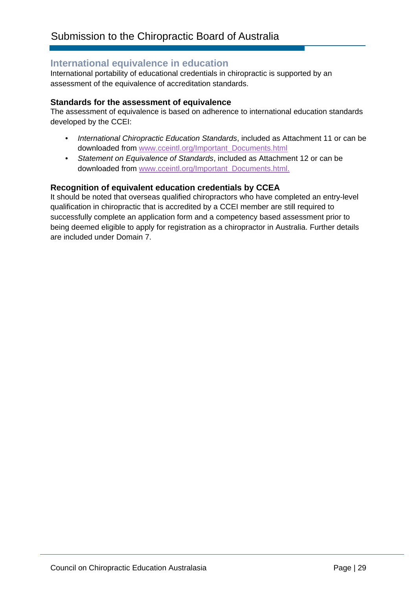### **International equivalence in education**

International portability of educational credentials in chiropractic is supported by an assessment of the equivalence of accreditation standards.

#### **Standards for the assessment of equivalence**

The assessment of equivalence is based on adherence to international education standards developed by the CCEI:

- *International Chiropractic Education Standards*, included as Attachment 11 or can be downloaded from www.cceintl.org/Important\_Documents.html
- *Statement on Equivalence of Standards*, included as Attachment 12 or can be downloaded from www.cceintl.org/Important\_Documents.html.

#### **Recognition of equivalent education credentials by CCEA**

It should be noted that overseas qualified chiropractors who have completed an entry-level qualification in chiropractic that is accredited by a CCEI member are still required to successfully complete an application form and a competency based assessment prior to being deemed eligible to apply for registration as a chiropractor in Australia. Further details are included under Domain 7.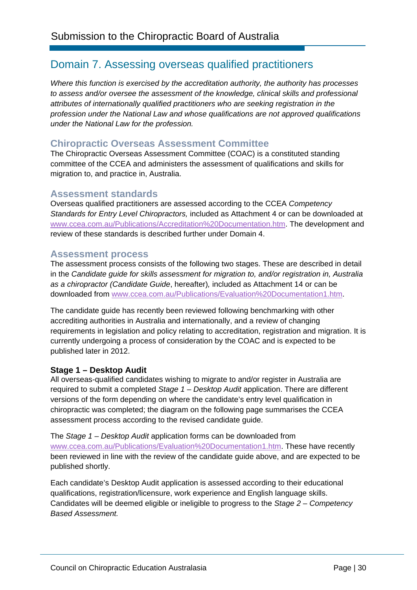# Domain 7. Assessing overseas qualified practitioners

*Where this function is exercised by the accreditation authority, the authority has processes to assess and/or oversee the assessment of the knowledge, clinical skills and professional attributes of internationally qualified practitioners who are seeking registration in the profession under the National Law and whose qualifications are not approved qualifications under the National Law for the profession.* 

# **Chiropractic Overseas Assessment Committee**

The Chiropractic Overseas Assessment Committee (COAC) is a constituted standing committee of the CCEA and administers the assessment of qualifications and skills for migration to, and practice in, Australia.

### **Assessment standards**

Overseas qualified practitioners are assessed according to the CCEA *Competency Standards for Entry Level Chiropractors,* included as Attachment 4 or can be downloaded at www.ccea.com.au/Publications/Accreditation%20Documentation.htm. The development and review of these standards is described further under Domain 4.

#### **Assessment process**

The assessment process consists of the following two stages. These are described in detail in the *Candidate guide for skills assessment for migration to, and/or registration in, Australia as a chiropractor (Candidate Guide*, hereafter)*,* included as Attachment 14 or can be downloaded from www.ccea.com.au/Publications/Evaluation%20Documentation1.htm.

The candidate guide has recently been reviewed following benchmarking with other accrediting authorities in Australia and internationally, and a review of changing requirements in legislation and policy relating to accreditation, registration and migration. It is currently undergoing a process of consideration by the COAC and is expected to be published later in 2012.

#### **Stage 1 – Desktop Audit**

All overseas-qualified candidates wishing to migrate to and/or register in Australia are required to submit a completed *Stage 1 – Desktop Audit* application. There are different versions of the form depending on where the candidate's entry level qualification in chiropractic was completed; the diagram on the following page summarises the CCEA assessment process according to the revised candidate guide.

The *Stage 1 – Desktop Audit* application forms can be downloaded from www.ccea.com.au/Publications/Evaluation%20Documentation1.htm. These have recently been reviewed in line with the review of the candidate guide above, and are expected to be published shortly.

Each candidate's Desktop Audit application is assessed according to their educational qualifications, registration/licensure, work experience and English language skills. Candidates will be deemed eligible or ineligible to progress to the *Stage 2 – Competency Based Assessment.*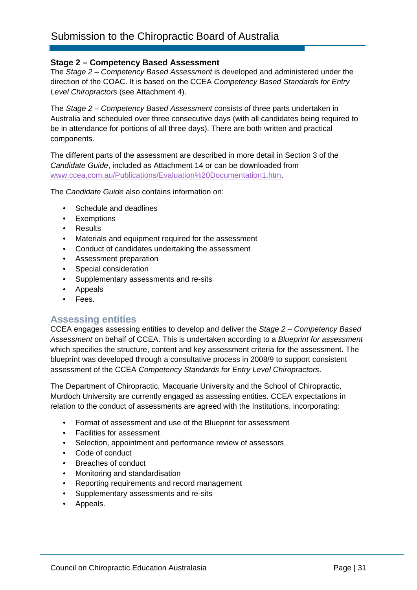#### **Stage 2 – Competency Based Assessment**

The *Stage 2 – Competency Based Assessment* is developed and administered under the direction of the COAC. It is based on the CCEA *Competency Based Standards for Entry Level Chiropractors* (see Attachment 4).

The *Stage 2 – Competency Based Assessment* consists of three parts undertaken in Australia and scheduled over three consecutive days (with all candidates being required to be in attendance for portions of all three days). There are both written and practical components.

The different parts of the assessment are described in more detail in Section 3 of the *Candidate Guide*, included as Attachment 14 or can be downloaded from www.ccea.com.au/Publications/Evaluation%20Documentation1.htm.

The *Candidate Guide* also contains information on:

- Schedule and deadlines
- Exemptions
- Results
- Materials and equipment required for the assessment
- Conduct of candidates undertaking the assessment
- Assessment preparation
- Special consideration
- Supplementary assessments and re-sits
- Appeals
- Fees.

### **Assessing entities**

CCEA engages assessing entities to develop and deliver the *Stage 2 – Competency Based Assessment* on behalf of CCEA. This is undertaken according to a *Blueprint for assessment* which specifies the structure, content and key assessment criteria for the assessment. The blueprint was developed through a consultative process in 2008/9 to support consistent assessment of the CCEA *Competency Standards for Entry Level Chiropractors*.

The Department of Chiropractic, Macquarie University and the School of Chiropractic, Murdoch University are currently engaged as assessing entities. CCEA expectations in relation to the conduct of assessments are agreed with the Institutions, incorporating:

- Format of assessment and use of the Blueprint for assessment
- Facilities for assessment
- Selection, appointment and performance review of assessors
- Code of conduct
- Breaches of conduct
- Monitoring and standardisation
- Reporting requirements and record management
- Supplementary assessments and re-sits
- Appeals.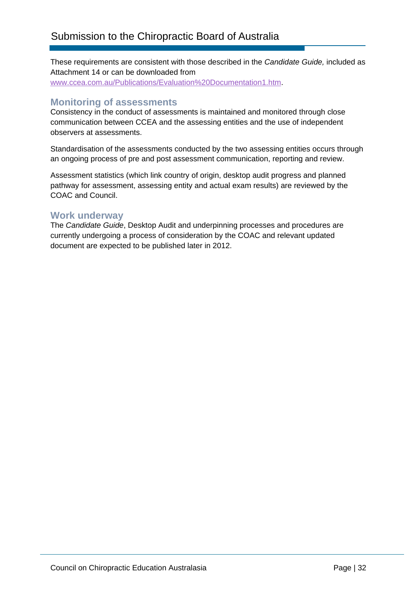These requirements are consistent with those described in the *Candidate Guide,* included as Attachment 14 or can be downloaded from www.ccea.com.au/Publications/Evaluation%20Documentation1.htm.

### **Monitoring of assessments**

Consistency in the conduct of assessments is maintained and monitored through close communication between CCEA and the assessing entities and the use of independent observers at assessments.

Standardisation of the assessments conducted by the two assessing entities occurs through an ongoing process of pre and post assessment communication, reporting and review.

Assessment statistics (which link country of origin, desktop audit progress and planned pathway for assessment, assessing entity and actual exam results) are reviewed by the COAC and Council.

### **Work underway**

The *Candidate Guide*, Desktop Audit and underpinning processes and procedures are currently undergoing a process of consideration by the COAC and relevant updated document are expected to be published later in 2012.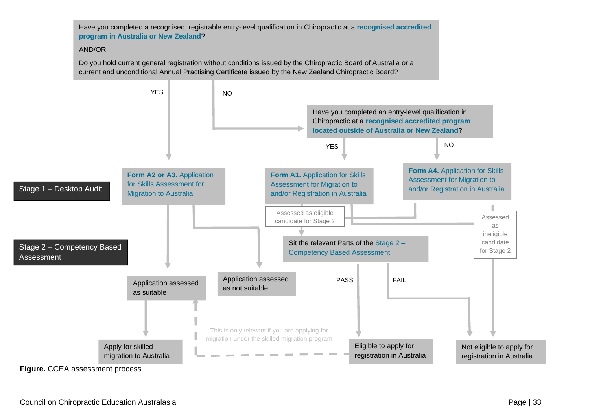Have you completed a recognised, registrable entry-level qualification in Chiropractic at a **recognised accredited program in Australia or New Zealand**?

#### AND/OR

Do you hold current general registration without conditions issued by the Chiropractic Board of Australia or a current and unconditional Annual Practising Certificate issued by the New Zealand Chiropractic Board?



Council on Chiropractic Education Australasia **Page | 33** Page | 33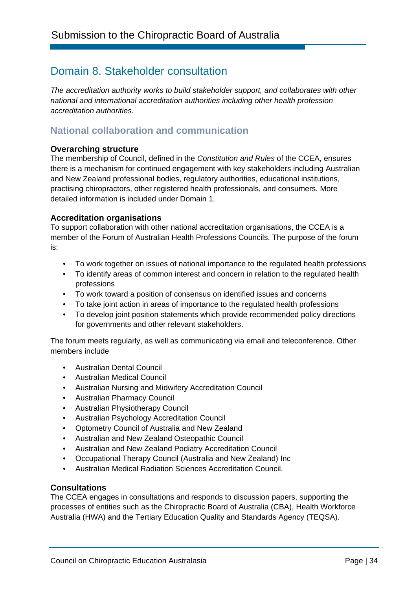# Domain 8. Stakeholder consultation

*The accreditation authority works to build stakeholder support, and collaborates with other national and international accreditation authorities including other health profession accreditation authorities.* 

# **National collaboration and communication**

#### **Overarching structure**

The membership of Council, defined in the *Constitution and Rules* of the CCEA, ensures there is a mechanism for continued engagement with key stakeholders including Australian and New Zealand professional bodies, regulatory authorities, educational institutions, practising chiropractors, other registered health professionals, and consumers. More detailed information is included under Domain 1.

#### **Accreditation organisations**

To support collaboration with other national accreditation organisations, the CCEA is a member of the Forum of Australian Health Professions Councils. The purpose of the forum is:

- To work together on issues of national importance to the regulated health professions
- To identify areas of common interest and concern in relation to the regulated health professions
- To work toward a position of consensus on identified issues and concerns
- To take joint action in areas of importance to the regulated health professions
- To develop joint position statements which provide recommended policy directions for governments and other relevant stakeholders.

The forum meets regularly, as well as communicating via email and teleconference. Other members include

- Australian Dental Council
- Australian Medical Council
- Australian Nursing and Midwifery Accreditation Council
- Australian Pharmacy Council
- Australian Physiotherapy Council
- Australian Psychology Accreditation Council
- Optometry Council of Australia and New Zealand
- Australian and New Zealand Osteopathic Council
- Australian and New Zealand Podiatry Accreditation Council
- Occupational Therapy Council (Australia and New Zealand) Inc
- Australian Medical Radiation Sciences Accreditation Council.

#### **Consultations**

The CCEA engages in consultations and responds to discussion papers, supporting the processes of entities such as the Chiropractic Board of Australia (CBA), Health Workforce Australia (HWA) and the Tertiary Education Quality and Standards Agency (TEQSA).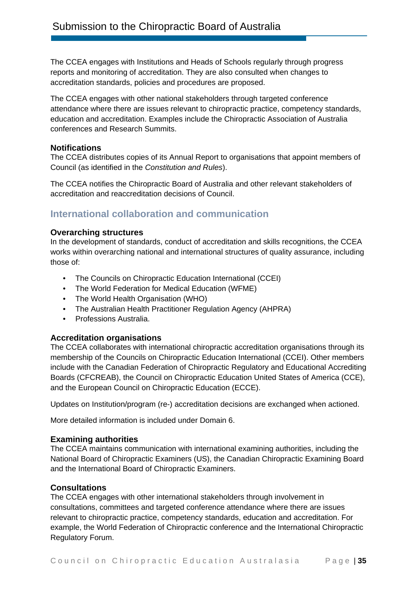The CCEA engages with Institutions and Heads of Schools regularly through progress reports and monitoring of accreditation. They are also consulted when changes to accreditation standards, policies and procedures are proposed.

The CCEA engages with other national stakeholders through targeted conference attendance where there are issues relevant to chiropractic practice, competency standards, education and accreditation. Examples include the Chiropractic Association of Australia conferences and Research Summits.

#### **Notifications**

The CCEA distributes copies of its Annual Report to organisations that appoint members of Council (as identified in the *Constitution and Rules*).

The CCEA notifies the Chiropractic Board of Australia and other relevant stakeholders of accreditation and reaccreditation decisions of Council.

# **International collaboration and communication**

#### **Overarching structures**

In the development of standards, conduct of accreditation and skills recognitions, the CCEA works within overarching national and international structures of quality assurance, including those of:

- The Councils on Chiropractic Education International (CCEI)
- The World Federation for Medical Education (WFME)
- The World Health Organisation (WHO)
- The Australian Health Practitioner Regulation Agency (AHPRA)
- Professions Australia.

#### **Accreditation organisations**

The CCEA collaborates with international chiropractic accreditation organisations through its membership of the Councils on Chiropractic Education International (CCEI). Other members include with the Canadian Federation of Chiropractic Regulatory and Educational Accrediting Boards (CFCREAB), the Council on Chiropractic Education United States of America (CCE), and the European Council on Chiropractic Education (ECCE).

Updates on Institution/program (re-) accreditation decisions are exchanged when actioned.

More detailed information is included under Domain 6.

#### **Examining authorities**

The CCEA maintains communication with international examining authorities, including the National Board of Chiropractic Examiners (US), the Canadian Chiropractic Examining Board and the International Board of Chiropractic Examiners.

#### **Consultations**

The CCEA engages with other international stakeholders through involvement in consultations, committees and targeted conference attendance where there are issues relevant to chiropractic practice, competency standards, education and accreditation. For example, the World Federation of Chiropractic conference and the International Chiropractic Regulatory Forum.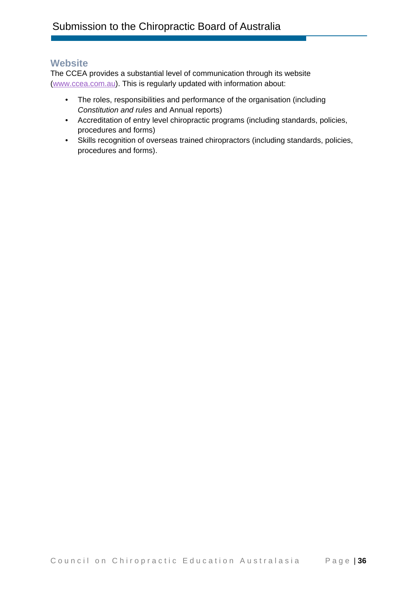### **Website**

The CCEA provides a substantial level of communication through its website (www.ccea.com.au). This is regularly updated with information about:

- The roles, responsibilities and performance of the organisation (including *Constitution and rules* and Annual reports)
- Accreditation of entry level chiropractic programs (including standards, policies, procedures and forms)
- Skills recognition of overseas trained chiropractors (including standards, policies, procedures and forms).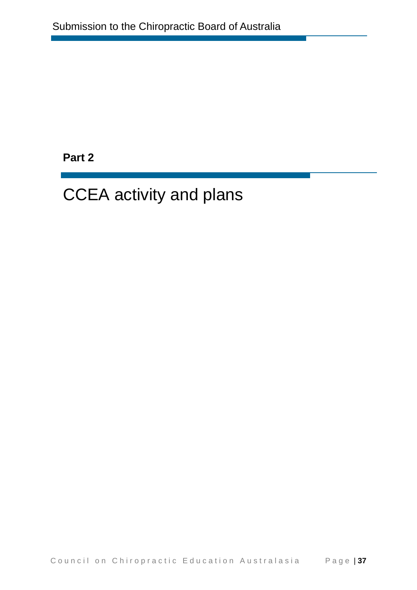**Part 2** 

# CCEA activity and plans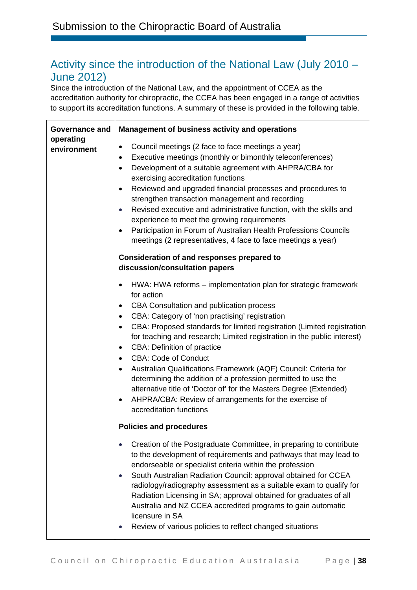# Activity since the introduction of the National Law (July 2010 – June 2012)

Since the introduction of the National Law, and the appointment of CCEA as the accreditation authority for chiropractic, the CCEA has been engaged in a range of activities to support its accreditation functions. A summary of these is provided in the following table.

| Governance and           | Management of business activity and operations                                                                                                                                                                                                                                                                                                                                                                                                                                                                                                                                                                                                                                                                                                 |
|--------------------------|------------------------------------------------------------------------------------------------------------------------------------------------------------------------------------------------------------------------------------------------------------------------------------------------------------------------------------------------------------------------------------------------------------------------------------------------------------------------------------------------------------------------------------------------------------------------------------------------------------------------------------------------------------------------------------------------------------------------------------------------|
| operating<br>environment | Council meetings (2 face to face meetings a year)<br>$\bullet$<br>Executive meetings (monthly or bimonthly teleconferences)<br>٠<br>Development of a suitable agreement with AHPRA/CBA for<br>$\bullet$<br>exercising accreditation functions<br>Reviewed and upgraded financial processes and procedures to<br>٠<br>strengthen transaction management and recording<br>Revised executive and administrative function, with the skills and<br>experience to meet the growing requirements<br>Participation in Forum of Australian Health Professions Councils<br>meetings (2 representatives, 4 face to face meetings a year)                                                                                                                  |
|                          | <b>Consideration of and responses prepared to</b><br>discussion/consultation papers                                                                                                                                                                                                                                                                                                                                                                                                                                                                                                                                                                                                                                                            |
|                          | HWA: HWA reforms – implementation plan for strategic framework<br>for action<br>CBA Consultation and publication process<br>٠<br>CBA: Category of 'non practising' registration<br>$\bullet$<br>CBA: Proposed standards for limited registration (Limited registration<br>for teaching and research; Limited registration in the public interest)<br><b>CBA: Definition of practice</b><br>$\bullet$<br><b>CBA: Code of Conduct</b><br>$\bullet$<br>Australian Qualifications Framework (AQF) Council: Criteria for<br>determining the addition of a profession permitted to use the<br>alternative title of 'Doctor of' for the Masters Degree (Extended)<br>AHPRA/CBA: Review of arrangements for the exercise of<br>accreditation functions |
|                          | <b>Policies and procedures</b>                                                                                                                                                                                                                                                                                                                                                                                                                                                                                                                                                                                                                                                                                                                 |
|                          | Creation of the Postgraduate Committee, in preparing to contribute<br>to the development of requirements and pathways that may lead to<br>endorseable or specialist criteria within the profession<br>South Australian Radiation Council: approval obtained for CCEA<br>$\bullet$<br>radiology/radiography assessment as a suitable exam to qualify for<br>Radiation Licensing in SA; approval obtained for graduates of all<br>Australia and NZ CCEA accredited programs to gain automatic<br>licensure in SA<br>Review of various policies to reflect changed situations                                                                                                                                                                     |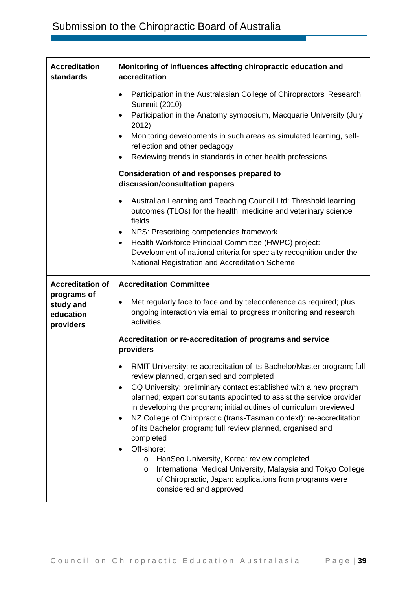| <b>Accreditation</b><br>standards                                             | Monitoring of influences affecting chiropractic education and<br>accreditation                                                                                                                                                                                                                                                                                                                                                                                                                                                                                                                                                                                                                                                                                                                                                                                                                                                                                                                              |
|-------------------------------------------------------------------------------|-------------------------------------------------------------------------------------------------------------------------------------------------------------------------------------------------------------------------------------------------------------------------------------------------------------------------------------------------------------------------------------------------------------------------------------------------------------------------------------------------------------------------------------------------------------------------------------------------------------------------------------------------------------------------------------------------------------------------------------------------------------------------------------------------------------------------------------------------------------------------------------------------------------------------------------------------------------------------------------------------------------|
|                                                                               | Participation in the Australasian College of Chiropractors' Research<br>٠<br>Summit (2010)<br>Participation in the Anatomy symposium, Macquarie University (July<br>2012)<br>Monitoring developments in such areas as simulated learning, self-<br>reflection and other pedagogy<br>Reviewing trends in standards in other health professions<br>$\bullet$<br>Consideration of and responses prepared to<br>discussion/consultation papers<br>Australian Learning and Teaching Council Ltd: Threshold learning<br>٠<br>outcomes (TLOs) for the health, medicine and veterinary science<br>fields<br>NPS: Prescribing competencies framework<br>$\bullet$<br>Health Workforce Principal Committee (HWPC) project:<br>$\bullet$<br>Development of national criteria for specialty recognition under the<br>National Registration and Accreditation Scheme                                                                                                                                                     |
| <b>Accreditation of</b><br>programs of<br>study and<br>education<br>providers | <b>Accreditation Committee</b><br>Met regularly face to face and by teleconference as required; plus<br>٠<br>ongoing interaction via email to progress monitoring and research<br>activities<br>Accreditation or re-accreditation of programs and service<br>providers<br>RMIT University: re-accreditation of its Bachelor/Master program; full<br>review planned, organised and completed<br>CQ University: preliminary contact established with a new program<br>$\bullet$<br>planned; expert consultants appointed to assist the service provider<br>in developing the program; initial outlines of curriculum previewed<br>NZ College of Chiropractic (trans-Tasman context): re-accreditation<br>of its Bachelor program; full review planned, organised and<br>completed<br>Off-shore:<br>HanSeo University, Korea: review completed<br>O<br>International Medical University, Malaysia and Tokyo College<br>O<br>of Chiropractic, Japan: applications from programs were<br>considered and approved |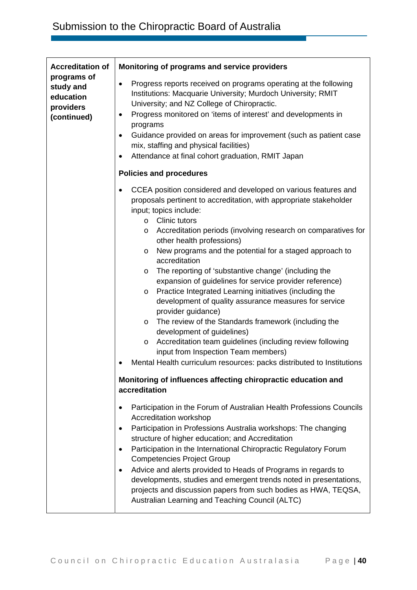| <b>Accreditation of</b><br>programs of<br>study and<br>education<br>providers<br>(continued) | Monitoring of programs and service providers                                                                                                                                                                                                                                                                                                                                                                                                                                                                                                                                                                                                                                                                                                                                                                                                                                                                                                                                                                                                                                                                                                                                                                                                                                                                                                                                                                                                                                                                                                                                        |
|----------------------------------------------------------------------------------------------|-------------------------------------------------------------------------------------------------------------------------------------------------------------------------------------------------------------------------------------------------------------------------------------------------------------------------------------------------------------------------------------------------------------------------------------------------------------------------------------------------------------------------------------------------------------------------------------------------------------------------------------------------------------------------------------------------------------------------------------------------------------------------------------------------------------------------------------------------------------------------------------------------------------------------------------------------------------------------------------------------------------------------------------------------------------------------------------------------------------------------------------------------------------------------------------------------------------------------------------------------------------------------------------------------------------------------------------------------------------------------------------------------------------------------------------------------------------------------------------------------------------------------------------------------------------------------------------|
|                                                                                              | Progress reports received on programs operating at the following<br>$\bullet$<br>Institutions: Macquarie University; Murdoch University; RMIT<br>University; and NZ College of Chiropractic.<br>Progress monitored on 'items of interest' and developments in<br>٠<br>programs<br>Guidance provided on areas for improvement (such as patient case<br>٠<br>mix, staffing and physical facilities)<br>Attendance at final cohort graduation, RMIT Japan<br>٠                                                                                                                                                                                                                                                                                                                                                                                                                                                                                                                                                                                                                                                                                                                                                                                                                                                                                                                                                                                                                                                                                                                         |
|                                                                                              | <b>Policies and procedures</b>                                                                                                                                                                                                                                                                                                                                                                                                                                                                                                                                                                                                                                                                                                                                                                                                                                                                                                                                                                                                                                                                                                                                                                                                                                                                                                                                                                                                                                                                                                                                                      |
|                                                                                              | CCEA position considered and developed on various features and<br>proposals pertinent to accreditation, with appropriate stakeholder<br>input; topics include:<br><b>Clinic tutors</b><br>$\circ$<br>Accreditation periods (involving research on comparatives for<br>O<br>other health professions)<br>New programs and the potential for a staged approach to<br>O<br>accreditation<br>The reporting of 'substantive change' (including the<br>O<br>expansion of guidelines for service provider reference)<br>Practice Integrated Learning initiatives (including the<br>O<br>development of quality assurance measures for service<br>provider guidance)<br>The review of the Standards framework (including the<br>O<br>development of guidelines)<br>Accreditation team guidelines (including review following<br>O<br>input from Inspection Team members)<br>Mental Health curriculum resources: packs distributed to Institutions<br>Monitoring of influences affecting chiropractic education and<br>accreditation<br>Participation in the Forum of Australian Health Professions Councils<br>Accreditation workshop<br>Participation in Professions Australia workshops: The changing<br>٠<br>structure of higher education; and Accreditation<br>Participation in the International Chiropractic Regulatory Forum<br>٠<br><b>Competencies Project Group</b><br>Advice and alerts provided to Heads of Programs in regards to<br>٠<br>developments, studies and emergent trends noted in presentations,<br>projects and discussion papers from such bodies as HWA, TEQSA, |
|                                                                                              | Australian Learning and Teaching Council (ALTC)                                                                                                                                                                                                                                                                                                                                                                                                                                                                                                                                                                                                                                                                                                                                                                                                                                                                                                                                                                                                                                                                                                                                                                                                                                                                                                                                                                                                                                                                                                                                     |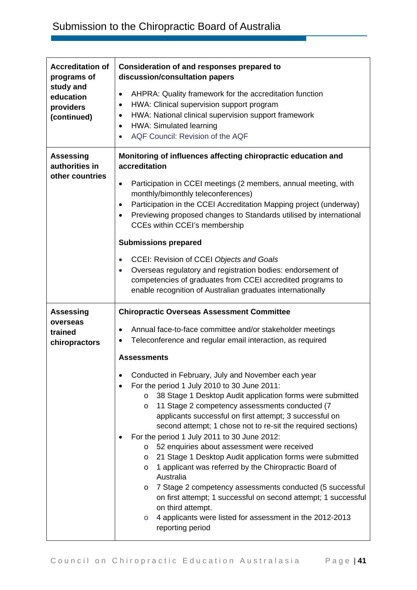| <b>Accreditation of</b><br>programs of | Consideration of and responses prepared to<br>discussion/consultation papers                                                                                                           |
|----------------------------------------|----------------------------------------------------------------------------------------------------------------------------------------------------------------------------------------|
| study and<br>education                 | AHPRA: Quality framework for the accreditation function<br>$\bullet$                                                                                                                   |
| providers                              | HWA: Clinical supervision support program<br>٠<br>HWA: National clinical supervision support framework<br>$\bullet$                                                                    |
| (continued)                            | HWA: Simulated learning<br>$\bullet$                                                                                                                                                   |
|                                        | AQF Council: Revision of the AQF<br>$\bullet$                                                                                                                                          |
| <b>Assessing</b><br>authorities in     | Monitoring of influences affecting chiropractic education and<br>accreditation                                                                                                         |
| other countries                        | Participation in CCEI meetings (2 members, annual meeting, with<br>$\bullet$<br>monthly/bimonthly teleconferences)                                                                     |
|                                        | Participation in the CCEI Accreditation Mapping project (underway)<br>$\bullet$<br>Previewing proposed changes to Standards utilised by international<br>CCEs within CCEI's membership |
|                                        | <b>Submissions prepared</b>                                                                                                                                                            |
|                                        | <b>CCEI: Revision of CCEI Objects and Goals</b><br>$\bullet$                                                                                                                           |
|                                        | Overseas regulatory and registration bodies: endorsement of<br>$\bullet$                                                                                                               |
|                                        | competencies of graduates from CCEI accredited programs to<br>enable recognition of Australian graduates internationally                                                               |
|                                        |                                                                                                                                                                                        |
| <b>Assessing</b>                       | <b>Chiropractic Overseas Assessment Committee</b>                                                                                                                                      |
| overseas<br>trained                    | Annual face-to-face committee and/or stakeholder meetings<br>$\bullet$                                                                                                                 |
| chiropractors                          | Teleconference and regular email interaction, as required                                                                                                                              |
|                                        | <b>Assessments</b>                                                                                                                                                                     |
|                                        | Conducted in February, July and November each year                                                                                                                                     |
|                                        | For the period 1 July 2010 to 30 June 2011:                                                                                                                                            |
|                                        | 38 Stage 1 Desktop Audit application forms were submitted<br>$\circ$                                                                                                                   |
|                                        | 11 Stage 2 competency assessments conducted (7<br>$\circ$                                                                                                                              |
|                                        | applicants successful on first attempt; 3 successful on<br>second attempt; 1 chose not to re-sit the required sections)                                                                |
|                                        | For the period 1 July 2011 to 30 June 2012:                                                                                                                                            |
|                                        | 52 enquiries about assessment were received<br>O                                                                                                                                       |
|                                        | 21 Stage 1 Desktop Audit application forms were submitted<br>$\circ$<br>1 applicant was referred by the Chiropractic Board of<br>$\circ$                                               |
|                                        | Australia                                                                                                                                                                              |
|                                        | 7 Stage 2 competency assessments conducted (5 successful<br>$\circ$<br>on first attempt; 1 successful on second attempt; 1 successful<br>on third attempt.                             |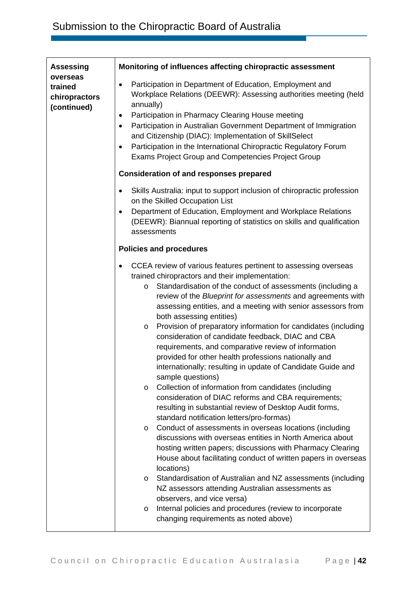| <b>Assessing</b>                                    | Monitoring of influences affecting chiropractic assessment                                                                                                                                                                                                                                                                                                                                                                                                                                                                                                                                                                                                                                                                                                                                                                                                                                                                                                                                                                                                                                                                                                                                                                                                                                                                                                                                                                                                        |
|-----------------------------------------------------|-------------------------------------------------------------------------------------------------------------------------------------------------------------------------------------------------------------------------------------------------------------------------------------------------------------------------------------------------------------------------------------------------------------------------------------------------------------------------------------------------------------------------------------------------------------------------------------------------------------------------------------------------------------------------------------------------------------------------------------------------------------------------------------------------------------------------------------------------------------------------------------------------------------------------------------------------------------------------------------------------------------------------------------------------------------------------------------------------------------------------------------------------------------------------------------------------------------------------------------------------------------------------------------------------------------------------------------------------------------------------------------------------------------------------------------------------------------------|
| overseas<br>trained<br>chiropractors<br>(continued) | Participation in Department of Education, Employment and<br>٠<br>Workplace Relations (DEEWR): Assessing authorities meeting (held<br>annually)<br>Participation in Pharmacy Clearing House meeting<br>٠<br>Participation in Australian Government Department of Immigration<br>$\bullet$<br>and Citizenship (DIAC): Implementation of SkillSelect<br>Participation in the International Chiropractic Regulatory Forum<br>$\bullet$<br>Exams Project Group and Competencies Project Group                                                                                                                                                                                                                                                                                                                                                                                                                                                                                                                                                                                                                                                                                                                                                                                                                                                                                                                                                                          |
|                                                     | <b>Consideration of and responses prepared</b>                                                                                                                                                                                                                                                                                                                                                                                                                                                                                                                                                                                                                                                                                                                                                                                                                                                                                                                                                                                                                                                                                                                                                                                                                                                                                                                                                                                                                    |
|                                                     | Skills Australia: input to support inclusion of chiropractic profession<br>on the Skilled Occupation List<br>Department of Education, Employment and Workplace Relations<br>(DEEWR): Biannual reporting of statistics on skills and qualification<br>assessments                                                                                                                                                                                                                                                                                                                                                                                                                                                                                                                                                                                                                                                                                                                                                                                                                                                                                                                                                                                                                                                                                                                                                                                                  |
|                                                     | <b>Policies and procedures</b>                                                                                                                                                                                                                                                                                                                                                                                                                                                                                                                                                                                                                                                                                                                                                                                                                                                                                                                                                                                                                                                                                                                                                                                                                                                                                                                                                                                                                                    |
|                                                     | CCEA review of various features pertinent to assessing overseas<br>trained chiropractors and their implementation:<br>Standardisation of the conduct of assessments (including a<br>$\circ$<br>review of the Blueprint for assessments and agreements with<br>assessing entities, and a meeting with senior assessors from<br>both assessing entities)<br>Provision of preparatory information for candidates (including<br>O<br>consideration of candidate feedback, DIAC and CBA<br>requirements, and comparative review of information<br>provided for other health professions nationally and<br>internationally; resulting in update of Candidate Guide and<br>sample questions)<br>Collection of information from candidates (including<br>O<br>consideration of DIAC reforms and CBA requirements;<br>resulting in substantial review of Desktop Audit forms,<br>standard notification letters/pro-formas)<br>Conduct of assessments in overseas locations (including<br>O<br>discussions with overseas entities in North America about<br>hosting written papers; discussions with Pharmacy Clearing<br>House about facilitating conduct of written papers in overseas<br>locations)<br>Standardisation of Australian and NZ assessments (including<br>$\circ$<br>NZ assessors attending Australian assessments as<br>observers, and vice versa)<br>Internal policies and procedures (review to incorporate<br>O<br>changing requirements as noted above) |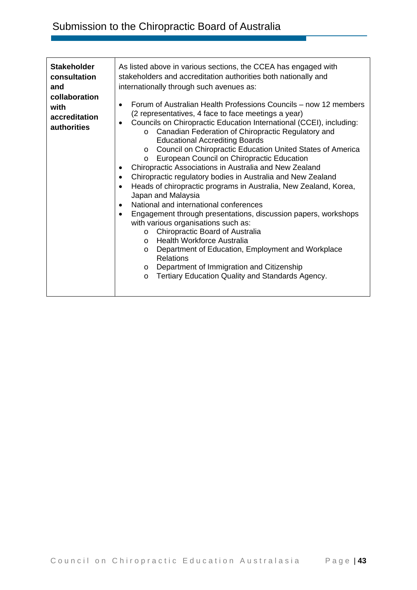| <b>Stakeholder</b><br>consultation<br>and<br>collaboration<br>with<br>accreditation<br><b>authorities</b> | As listed above in various sections, the CCEA has engaged with<br>stakeholders and accreditation authorities both nationally and<br>internationally through such avenues as:<br>Forum of Australian Health Professions Councils – now 12 members<br>$\bullet$<br>(2 representatives, 4 face to face meetings a year)<br>Councils on Chiropractic Education International (CCEI), including:<br>Canadian Federation of Chiropractic Regulatory and<br>$\circ$<br><b>Educational Accrediting Boards</b><br>Council on Chiropractic Education United States of America<br>$\circ$<br>European Council on Chiropractic Education<br>$\circ$<br>Chiropractic Associations in Australia and New Zealand<br>Chiropractic regulatory bodies in Australia and New Zealand<br>Heads of chiropractic programs in Australia, New Zealand, Korea,<br>Japan and Malaysia<br>National and international conferences<br>$\bullet$<br>Engagement through presentations, discussion papers, workshops<br>$\bullet$<br>with various organisations such as:<br>Chiropractic Board of Australia<br>$\circ$<br>o Health Workforce Australia<br>Department of Education, Employment and Workplace<br>$\circ$<br><b>Relations</b><br>Department of Immigration and Citizenship<br>$\circ$<br>Tertiary Education Quality and Standards Agency.<br>O |
|-----------------------------------------------------------------------------------------------------------|----------------------------------------------------------------------------------------------------------------------------------------------------------------------------------------------------------------------------------------------------------------------------------------------------------------------------------------------------------------------------------------------------------------------------------------------------------------------------------------------------------------------------------------------------------------------------------------------------------------------------------------------------------------------------------------------------------------------------------------------------------------------------------------------------------------------------------------------------------------------------------------------------------------------------------------------------------------------------------------------------------------------------------------------------------------------------------------------------------------------------------------------------------------------------------------------------------------------------------------------------------------------------------------------------------------------------|
|-----------------------------------------------------------------------------------------------------------|----------------------------------------------------------------------------------------------------------------------------------------------------------------------------------------------------------------------------------------------------------------------------------------------------------------------------------------------------------------------------------------------------------------------------------------------------------------------------------------------------------------------------------------------------------------------------------------------------------------------------------------------------------------------------------------------------------------------------------------------------------------------------------------------------------------------------------------------------------------------------------------------------------------------------------------------------------------------------------------------------------------------------------------------------------------------------------------------------------------------------------------------------------------------------------------------------------------------------------------------------------------------------------------------------------------------------|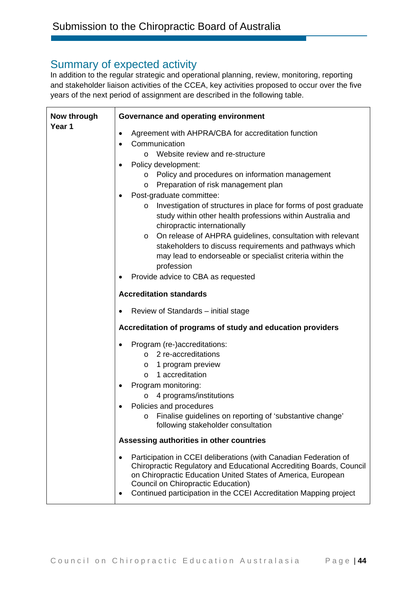# Summary of expected activity

In addition to the regular strategic and operational planning, review, monitoring, reporting and stakeholder liaison activities of the CCEA, key activities proposed to occur over the five years of the next period of assignment are described in the following table.

| Now through | Governance and operating environment                                                                                                                                                                                                                                                                                                                                                                                                                                                                                                                                                                                                                                                                     |
|-------------|----------------------------------------------------------------------------------------------------------------------------------------------------------------------------------------------------------------------------------------------------------------------------------------------------------------------------------------------------------------------------------------------------------------------------------------------------------------------------------------------------------------------------------------------------------------------------------------------------------------------------------------------------------------------------------------------------------|
| Year 1      | Agreement with AHPRA/CBA for accreditation function<br>Communication<br>Website review and re-structure<br>$\Omega$<br>Policy development:<br>o Policy and procedures on information management<br>Preparation of risk management plan<br>O<br>Post-graduate committee:<br>Investigation of structures in place for forms of post graduate<br>$\circ$<br>study within other health professions within Australia and<br>chiropractic internationally<br>On release of AHPRA guidelines, consultation with relevant<br>$\circ$<br>stakeholders to discuss requirements and pathways which<br>may lead to endorseable or specialist criteria within the<br>profession<br>Provide advice to CBA as requested |
|             | <b>Accreditation standards</b>                                                                                                                                                                                                                                                                                                                                                                                                                                                                                                                                                                                                                                                                           |
|             | Review of Standards - initial stage                                                                                                                                                                                                                                                                                                                                                                                                                                                                                                                                                                                                                                                                      |
|             | Accreditation of programs of study and education providers                                                                                                                                                                                                                                                                                                                                                                                                                                                                                                                                                                                                                                               |
|             | Program (re-)accreditations:<br>o 2 re-accreditations<br>1 program preview<br>$\circ$<br>1 accreditation<br>$\Omega$<br>Program monitoring:<br>4 programs/institutions<br>$\circ$<br>Policies and procedures<br>Finalise guidelines on reporting of 'substantive change'<br>$\circ$<br>following stakeholder consultation<br>Assessing authorities in other countries                                                                                                                                                                                                                                                                                                                                    |
|             |                                                                                                                                                                                                                                                                                                                                                                                                                                                                                                                                                                                                                                                                                                          |
|             | Participation in CCEI deliberations (with Canadian Federation of<br>Chiropractic Regulatory and Educational Accrediting Boards, Council<br>on Chiropractic Education United States of America, European<br>Council on Chiropractic Education)<br>Continued participation in the CCEI Accreditation Mapping project                                                                                                                                                                                                                                                                                                                                                                                       |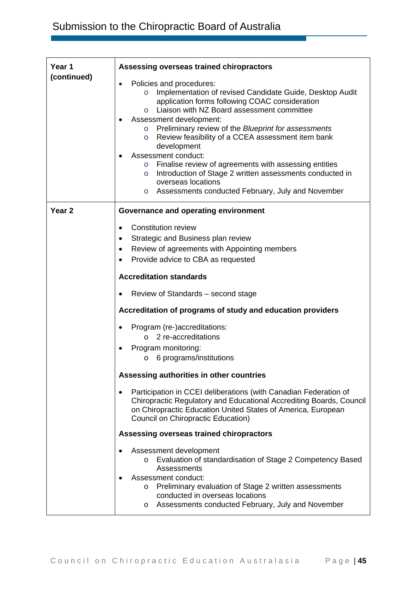| Year 1            | Assessing overseas trained chiropractors                                                                                                                                                                                                                                                                                                                                                                                                                                                                                                                                                                                              |
|-------------------|---------------------------------------------------------------------------------------------------------------------------------------------------------------------------------------------------------------------------------------------------------------------------------------------------------------------------------------------------------------------------------------------------------------------------------------------------------------------------------------------------------------------------------------------------------------------------------------------------------------------------------------|
| (continued)       | Policies and procedures:<br>Implementation of revised Candidate Guide, Desktop Audit<br>$\circ$<br>application forms following COAC consideration<br>Liaison with NZ Board assessment committee<br>$\circ$<br>Assessment development:<br>Preliminary review of the Blueprint for assessments<br>$\circ$<br>Review feasibility of a CCEA assessment item bank<br>$\circ$<br>development<br>Assessment conduct:<br>Finalise review of agreements with assessing entities<br>$\circ$<br>o Introduction of Stage 2 written assessments conducted in<br>overseas locations<br>Assessments conducted February, July and November<br>$\circ$ |
| Year <sub>2</sub> | Governance and operating environment                                                                                                                                                                                                                                                                                                                                                                                                                                                                                                                                                                                                  |
|                   | <b>Constitution review</b><br>$\bullet$<br>Strategic and Business plan review<br>Review of agreements with Appointing members<br>$\bullet$<br>Provide advice to CBA as requested                                                                                                                                                                                                                                                                                                                                                                                                                                                      |
|                   | <b>Accreditation standards</b>                                                                                                                                                                                                                                                                                                                                                                                                                                                                                                                                                                                                        |
|                   | Review of Standards – second stage                                                                                                                                                                                                                                                                                                                                                                                                                                                                                                                                                                                                    |
|                   | Accreditation of programs of study and education providers                                                                                                                                                                                                                                                                                                                                                                                                                                                                                                                                                                            |
|                   | Program (re-)accreditations:<br>$\circ$ 2 re-accreditations<br>Program monitoring:<br>6 programs/institutions<br>O                                                                                                                                                                                                                                                                                                                                                                                                                                                                                                                    |
|                   | Assessing authorities in other countries                                                                                                                                                                                                                                                                                                                                                                                                                                                                                                                                                                                              |
|                   | Participation in CCEI deliberations (with Canadian Federation of<br>$\bullet$<br>Chiropractic Regulatory and Educational Accrediting Boards, Council<br>on Chiropractic Education United States of America, European<br>Council on Chiropractic Education)                                                                                                                                                                                                                                                                                                                                                                            |
|                   | Assessing overseas trained chiropractors                                                                                                                                                                                                                                                                                                                                                                                                                                                                                                                                                                                              |
|                   | Assessment development<br>Evaluation of standardisation of Stage 2 Competency Based<br>Assessments<br>Assessment conduct:<br>Preliminary evaluation of Stage 2 written assessments<br>$\circ$<br>conducted in overseas locations<br>Assessments conducted February, July and November<br>O                                                                                                                                                                                                                                                                                                                                            |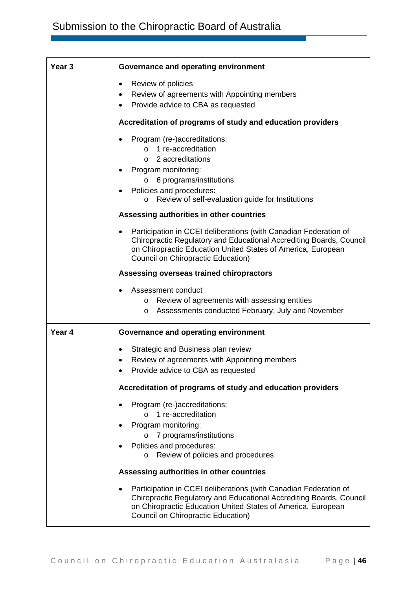| Year <sub>3</sub> | Governance and operating environment                                                                                                                                                                                                                       |
|-------------------|------------------------------------------------------------------------------------------------------------------------------------------------------------------------------------------------------------------------------------------------------------|
|                   | Review of policies<br>$\bullet$<br>Review of agreements with Appointing members<br>$\bullet$<br>Provide advice to CBA as requested<br>$\bullet$                                                                                                            |
|                   | Accreditation of programs of study and education providers                                                                                                                                                                                                 |
|                   | Program (re-)accreditations:<br>1 re-accreditation<br>$\Omega$<br>2 accreditations<br>$\circ$<br>Program monitoring:<br>6 programs/institutions<br>$\circ$<br>Policies and procedures:<br>Review of self-evaluation guide for Institutions<br>$\circ$      |
|                   | Assessing authorities in other countries                                                                                                                                                                                                                   |
|                   | Participation in CCEI deliberations (with Canadian Federation of<br>$\bullet$<br>Chiropractic Regulatory and Educational Accrediting Boards, Council<br>on Chiropractic Education United States of America, European<br>Council on Chiropractic Education) |
|                   | Assessing overseas trained chiropractors                                                                                                                                                                                                                   |
|                   | Assessment conduct<br>Review of agreements with assessing entities<br>O<br>Assessments conducted February, July and November<br>O                                                                                                                          |
| Year 4            | Governance and operating environment                                                                                                                                                                                                                       |
|                   | Strategic and Business plan review<br>٠<br>Review of agreements with Appointing members<br>Provide advice to CBA as requested                                                                                                                              |
|                   | Accreditation of programs of study and education providers                                                                                                                                                                                                 |
|                   | Program (re-)accreditations:<br>1 re-accreditation<br>$\Omega$<br>Program monitoring:<br>7 programs/institutions<br>Policies and procedures:<br>Review of policies and procedures<br>$\circ$                                                               |
|                   | Assessing authorities in other countries                                                                                                                                                                                                                   |
|                   | Participation in CCEI deliberations (with Canadian Federation of<br>Chiropractic Regulatory and Educational Accrediting Boards, Council<br>on Chiropractic Education United States of America, European<br>Council on Chiropractic Education)              |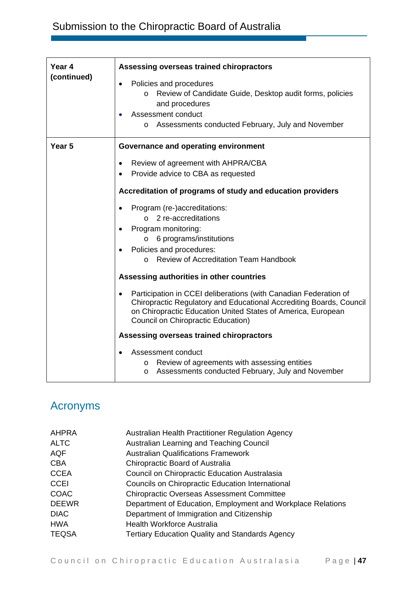# Submission to the Chiropractic Board of Australia

| Year 4      | Assessing overseas trained chiropractors                                                                                                                                                                                                                                                                                                                                                                                                                                                                    |
|-------------|-------------------------------------------------------------------------------------------------------------------------------------------------------------------------------------------------------------------------------------------------------------------------------------------------------------------------------------------------------------------------------------------------------------------------------------------------------------------------------------------------------------|
| (continued) | Policies and procedures<br>Review of Candidate Guide, Desktop audit forms, policies<br>$\circ$<br>and procedures<br>Assessment conduct<br>Assessments conducted February, July and November<br>$\circ$                                                                                                                                                                                                                                                                                                      |
| Year 5      | Governance and operating environment                                                                                                                                                                                                                                                                                                                                                                                                                                                                        |
|             | Review of agreement with AHPRA/CBA                                                                                                                                                                                                                                                                                                                                                                                                                                                                          |
|             | Provide advice to CBA as requested<br>$\bullet$                                                                                                                                                                                                                                                                                                                                                                                                                                                             |
|             | Accreditation of programs of study and education providers                                                                                                                                                                                                                                                                                                                                                                                                                                                  |
|             | Program (re-)accreditations:<br>$\circ$ 2 re-accreditations<br>Program monitoring:<br>6 programs/institutions<br>$\circ$<br>Policies and procedures:<br><b>Review of Accreditation Team Handbook</b><br>$\cap$<br>Assessing authorities in other countries<br>Participation in CCEI deliberations (with Canadian Federation of<br>Chiropractic Regulatory and Educational Accrediting Boards, Council<br>on Chiropractic Education United States of America, European<br>Council on Chiropractic Education) |
|             | Assessing overseas trained chiropractors                                                                                                                                                                                                                                                                                                                                                                                                                                                                    |
|             | Assessment conduct<br>Review of agreements with assessing entities<br>O<br>Assessments conducted February, July and November<br>O                                                                                                                                                                                                                                                                                                                                                                           |

# Acronyms

| <b>AHPRA</b> | Australian Health Practitioner Regulation Agency            |
|--------------|-------------------------------------------------------------|
| <b>ALTC</b>  | Australian Learning and Teaching Council                    |
| AQF          | <b>Australian Qualifications Framework</b>                  |
| <b>CBA</b>   | Chiropractic Board of Australia                             |
| <b>CCEA</b>  | Council on Chiropractic Education Australasia               |
| <b>CCEI</b>  | Councils on Chiropractic Education International            |
| <b>COAC</b>  | <b>Chiropractic Overseas Assessment Committee</b>           |
| <b>DEEWR</b> | Department of Education, Employment and Workplace Relations |
| <b>DIAC</b>  | Department of Immigration and Citizenship                   |
| <b>HWA</b>   | Health Workforce Australia                                  |
| <b>TEQSA</b> | <b>Tertiary Education Quality and Standards Agency</b>      |